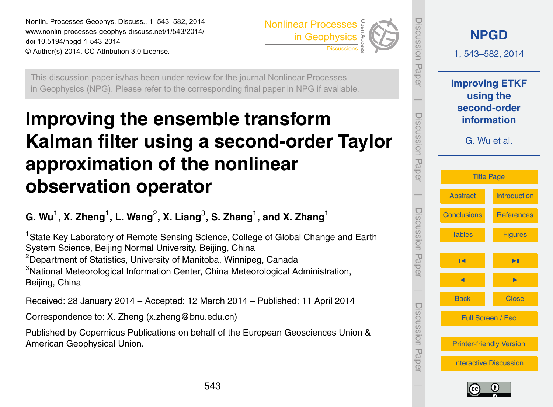<span id="page-0-0"></span>Nonlin. Processes Geophys. Discuss., 1, 543–582, 2014 www.nonlin-processes-geophys-discuss.net/1/543/2014/ doi:10.5194/npgd-1-543-2014 © Author(s) 2014. CC Attribution 3.0 License. Open Access



This discussion paper is/has been under review for the journal Nonlinear Processes in Geophysics (NPG). Please refer to the corresponding final paper in NPG if available.

# **Improving the ensemble transform Kalman filter using a second-order Taylor approximation of the nonlinear observation operator**

 $\mathbf{G}.$  Wu<sup>1</sup>, X. Zheng<sup>1</sup>, L. Wang<sup>2</sup>, X. Liang<sup>3</sup>, S. Zhang<sup>1</sup>, and X. Zhang<sup>1</sup>

<sup>1</sup> State Key Laboratory of Remote Sensing Science, College of Global Change and Earth System Science, Beijing Normal University, Beijing, China  $2$ Department of Statistics, University of Manitoba, Winnipeg, Canada <sup>3</sup>National Meteorological Information Center, China Meteorological Administration, Beijing, China

Received: 28 January 2014 – Accepted: 12 March 2014 – Published: 11 April 2014

Correspondence to: X. Zheng (x.zheng@bnu.edu.cn)

Published by Copernicus Publications on behalf of the European Geosciences Union & American Geophysical Union.



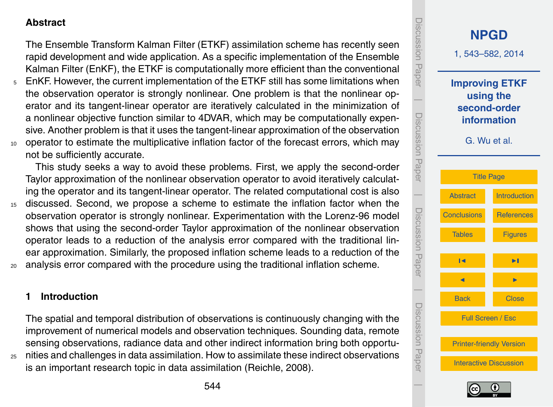## <span id="page-1-0"></span>**Abstract**

The Ensemble Transform Kalman Filter (ETKF) assimilation scheme has recently seen rapid development and wide application. As a specific implementation of the Ensemble Kalman Filter (EnKF), the ETKF is computationally more efficient than the conventional

<sup>5</sup> EnKF. However, the current implementation of the ETKF still has some limitations when the observation operator is strongly nonlinear. One problem is that the nonlinear operator and its tangent-linear operator are iteratively calculated in the minimization of a nonlinear objective function similar to 4DVAR, which may be computationally expensive. Another problem is that it uses the tangent-linear approximation of the observation 10 operator to estimate the multiplicative inflation factor of the forecast errors, which may not be sufficiently accurate.

This study seeks a way to avoid these problems. First, we apply the second-order Taylor approximation of the nonlinear observation operator to avoid iteratively calculating the operator and its tangent-linear operator. The related computational cost is also

<sup>15</sup> discussed. Second, we propose a scheme to estimate the inflation factor when the observation operator is strongly nonlinear. Experimentation with the Lorenz-96 model shows that using the second-order Taylor approximation of the nonlinear observation operator leads to a reduction of the analysis error compared with the traditional linear approximation. Similarly, the proposed inflation scheme leads to a reduction of the analysis error compared with the procedure using the traditional inflation scheme.

### **1 Introduction**

The spatial and temporal distribution of observations is continuously changing with the improvement of numerical models and observation techniques. Sounding data, remote sensing observations, radiance data and other indirect information bring both opportu-<sup>25</sup> nities and challenges in data assimilation. How to assimilate these indirect observations is an important research topic in data assimilation (Reichle, 2008).



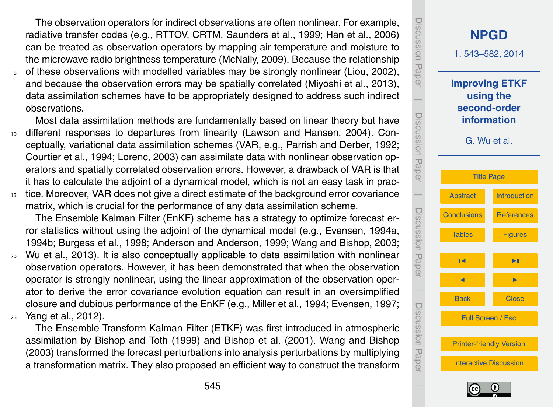The observation operators for indirect observations are often nonlinear. For example, radiative transfer codes (e.g., RTTOV, CRTM, Saunders et al., 1999; Han et al., 2006) can be treated as observation operators by mapping air temperature and moisture to the microwave radio brightness temperature (McNally, 2009). Because the relationship

<sup>5</sup> of these observations with modelled variables may be strongly nonlinear (Liou, 2002), and because the observation errors may be spatially correlated (Miyoshi et al., 2013), data assimilation schemes have to be appropriately designed to address such indirect observations.

Most data assimilation methods are fundamentally based on linear theory but have <sup>10</sup> different responses to departures from linearity (Lawson and Hansen, 2004). Conceptually, variational data assimilation schemes (VAR, e.g., Parrish and Derber, 1992; Courtier et al., 1994; Lorenc, 2003) can assimilate data with nonlinear observation operators and spatially correlated observation errors. However, a drawback of VAR is that it has to calculate the adjoint of a dynamical model, which is not an easy task in prac-<sup>15</sup> tice. Moreover, VAR does not give a direct estimate of the background error covariance

matrix, which is crucial for the performance of any data assimilation scheme.

The Ensemble Kalman Filter (EnKF) scheme has a strategy to optimize forecast error statistics without using the adjoint of the dynamical model (e.g., Evensen, 1994a, 1994b; Burgess et al., 1998; Anderson and Anderson, 1999; Wang and Bishop, 2003;

- <sup>20</sup> Wu et al., 2013). It is also conceptually applicable to data assimilation with nonlinear observation operators. However, it has been demonstrated that when the observation operator is strongly nonlinear, using the linear approximation of the observation operator to derive the error covariance evolution equation can result in an oversimplified closure and dubious performance of the EnKF (e.g., Miller et al., 1994; Evensen, 1997; <sup>25</sup> Yang et al., 2012).
- The Ensemble Transform Kalman Filter (ETKF) was first introduced in atmospheric

assimilation by Bishop and Toth (1999) and Bishop et al. (2001). Wang and Bishop (2003) transformed the forecast perturbations into analysis perturbations by multiplying a transformation matrix. They also proposed an efficient way to construct the transform



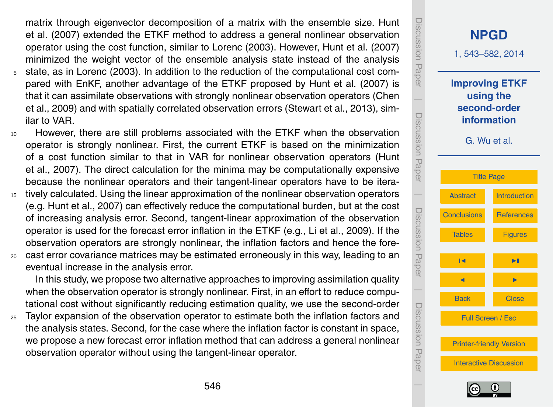matrix through eigenvector decomposition of a matrix with the ensemble size. Hunt et al. (2007) extended the ETKF method to address a general nonlinear observation operator using the cost function, similar to Lorenc (2003). However, Hunt et al. (2007) minimized the weight vector of the ensemble analysis state instead of the analysis

- <sup>5</sup> state, as in Lorenc (2003). In addition to the reduction of the computational cost compared with EnKF, another advantage of the ETKF proposed by Hunt et al. (2007) is that it can assimilate observations with strongly nonlinear observation operators (Chen et al., 2009) and with spatially correlated observation errors (Stewart et al., 2013), similar to VAR.
- <sup>10</sup> However, there are still problems associated with the ETKF when the observation operator is strongly nonlinear. First, the current ETKF is based on the minimization of a cost function similar to that in VAR for nonlinear observation operators (Hunt et al., 2007). The direct calculation for the minima may be computationally expensive because the nonlinear operators and their tangent-linear operators have to be itera-
- 15 tively calculated. Using the linear approximation of the nonlinear observation operators (e.g. Hunt et al., 2007) can effectively reduce the computational burden, but at the cost of increasing analysis error. Second, tangent-linear approximation of the observation operator is used for the forecast error inflation in the ETKF (e.g., Li et al., 2009). If the observation operators are strongly nonlinear, the inflation factors and hence the fore-
- <sup>20</sup> cast error covariance matrices may be estimated erroneously in this way, leading to an eventual increase in the analysis error.

In this study, we propose two alternative approaches to improving assimilation quality when the observation operator is strongly nonlinear. First, in an effort to reduce computational cost without significantly reducing estimation quality, we use the second-order

<sup>25</sup> Taylor expansion of the observation operator to estimate both the inflation factors and the analysis states. Second, for the case where the inflation factor is constant in space, we propose a new forecast error inflation method that can address a general nonlinear observation operator without using the tangent-linear operator.



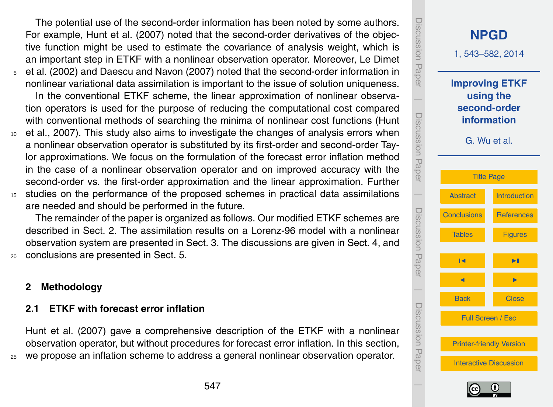The potential use of the second-order information has been noted by some authors. For example, Hunt et al. (2007) noted that the second-order derivatives of the objective function might be used to estimate the covariance of analysis weight, which is an important step in ETKF with a nonlinear observation operator. Moreover, Le Dimet <sup>5</sup> et al. (2002) and Daescu and Navon (2007) noted that the second-order information in nonlinear variational data assimilation is important to the issue of solution uniqueness. In the conventional ETKF scheme, the linear approximation of nonlinear observation operators is used for the purpose of reducing the computational cost compared with conventional methods of searching the minima of nonlinear cost functions (Hunt <sup>10</sup> et al., 2007). This study also aims to investigate the changes of analysis errors when a nonlinear observation operator is substituted by its first-order and second-order Taylor approximations. We focus on the formulation of the forecast error inflation method in the case of a nonlinear observation operator and on improved accuracy with the second-order vs. the first-order approximation and the linear approximation. Further <sup>15</sup> studies on the performance of the proposed schemes in practical data assimilations

are needed and should be performed in the future.

The remainder of the paper is organized as follows. Our modified ETKF schemes are described in Sect. 2. The assimilation results on a Lorenz-96 model with a nonlinear observation system are presented in Sect. 3. The discussions are given in Sect. 4, and <sup>20</sup> conclusions are presented in Sect. 5.

**2 Methodology**

### **2.1 ETKF with forecast error inflation**

Hunt et al. (2007) gave a comprehensive description of the ETKF with a nonlinear observation operator, but without procedures for forecast error inflation. In this section, <sup>25</sup> we propose an inflation scheme to address a general nonlinear observation operator.



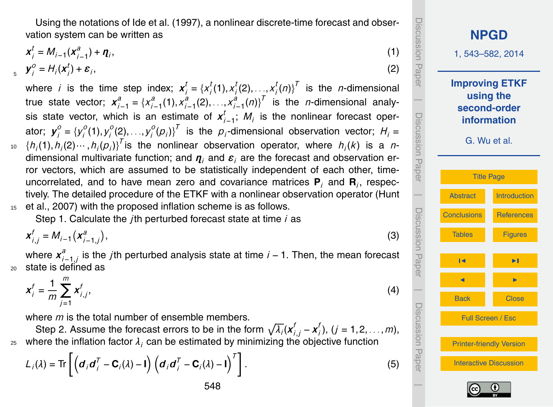Using the notations of Ide et al. (1997), a nonlinear discrete-time forecast and observation system can be written as

$$
\mathbf{x}_{j}^{t} = M_{i-1}(\mathbf{x}_{i-1}^{a}) + \mathbf{\eta}_{i},
$$
  
\n
$$
\mathbf{y}_{i}^{0} = H_{i}(\mathbf{x}_{i}^{t}) + \mathbf{\varepsilon}_{i},
$$
\n(1)

*y o*  $i^o_j = H_i(\boldsymbol{x}_i^t)$  $y_i^0 = H_i(x_i^I) + \varepsilon_i$ 

where *i* is the time step index;  $\boldsymbol{x}_i^t = \{x_i^t\}$  $\binom{t}{i}(1), \times \binom{t}{i}$  $\sum_{i}^{t}$ (2), . . <u>.</u>,  $x_i^t$  $\binom{t}{i}(n)$ <sup>T</sup> is the *n*-dimensional true state vector;  $x_{i-1}^a = \{x_i^a\}$ *i*−1 (1),*x a i*−1 (2),*. . .*,*x a i*−1 (*n*)} *T* is the *n*-dimensional analysis state vector, which is an estimate of  $x_i^t$ *i*−1 ; *M<sup>i</sup>* is the nonlinear forecast operator;  $\mathbf{y}_i^o = \{y_i^o\}$ *i* (1),*y o i* (2),*. . .*,*y o*  $\left\{ \begin{array}{l} \left( \rho_{i}\right) \end{array} \right\}^{T}$  is the  $\rho_{i}$ -dimensional observation vector;  $H_{i} =$  $h_0$   $\{h_i(1), h_i(2) \cdots, h_i(p_i)\}^T$  is the nonlinear observation operator, where  $h_i(k)$  is a ndimensional multivariate function; and *η<sup>i</sup>* and *ε<sup>i</sup>* are the forecast and observation error vectors, which are assumed to be statistically independent of each other, timeuncorrelated, and to have mean zero and covariance matrices **P***<sup>i</sup>* and **R***<sup>i</sup>* , respectively. The detailed procedure of the ETKF with a nonlinear observation operator (Hunt <sup>15</sup> et al., 2007) with the proposed inflation scheme is as follows.

Step 1. Calculate the *j*th perturbed forecast state at time *i* as

$$
x_{i,j}^f = M_{i-1} \left( x_{i-1,j}^a \right), \tag{3}
$$

where  $x_i^a$ *i*−1,*j* is the *j*th perturbed analysis state at time *i* − 1. Then, the mean forecast <sup>20</sup> state is defined as

$$
x_i^f = \frac{1}{m} \sum_{j=1}^m x_{i,j}^f,
$$
 (4)

where *m* is the total number of ensemble members.

Step 2. Assume the forecast errors to be in the form  $\sqrt{\lambda_i}(\mathbf{x}_{i,j}^f-\mathbf{x}_i^f)$ *i* ), (*j* = 1,2,*. . .*,*m*), where the inflation factor  $\lambda_i$  can be estimated by minimizing the objective function

$$
L_i(\lambda) = \text{Tr}\left[\left(\boldsymbol{d}_i\boldsymbol{d}_i^T - \mathbf{C}_i(\lambda) - \mathbf{I}\right)\left(\boldsymbol{d}_i\boldsymbol{d}_i^T - \mathbf{C}_i(\lambda) - \mathbf{I}\right)^T\right].
$$
\n(5)

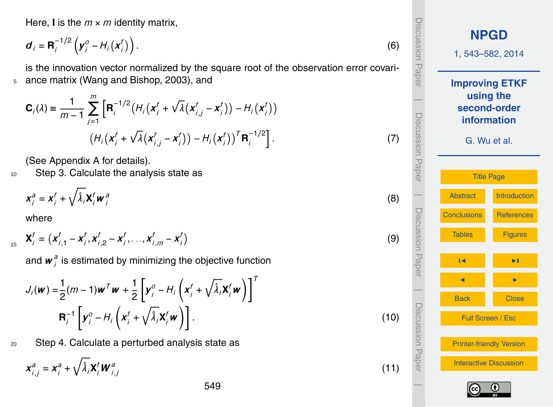<span id="page-6-0"></span>Here, **I** is the  $m \times m$  identity matrix,

$$
\boldsymbol{d}_i = \mathbf{R}_i^{-1/2} \left( \boldsymbol{y}_i^0 - H_i \left( \boldsymbol{x}_i^f \right) \right). \tag{6}
$$

is the innovation vector normalized by the square root of the observation error covari-<sup>5</sup> ance matrix (Wang and Bishop, 2003), and

$$
\mathbf{C}_{i}(\lambda) = \frac{1}{m-1} \sum_{j=1}^{m} \left[ \mathbf{R}_{i}^{-1/2} \left( H_{i} \left( \mathbf{x}_{i}^{f} + \sqrt{\lambda} \left( \mathbf{x}_{i,j}^{f} - \mathbf{x}_{i}^{f} \right) \right) - H_{i} \left( \mathbf{x}_{i}^{f} \right) \right) \right] \tag{7}
$$

$$
\left( H_{i} \left( \mathbf{x}_{i}^{f} + \sqrt{\lambda} \left( \mathbf{x}_{i,j}^{f} - \mathbf{x}_{i}^{f} \right) \right) - H_{i} \left( \mathbf{x}_{i}^{f} \right) \right)^{T} \mathbf{R}_{i}^{-1/2} \right].
$$

(See Appendix A for details).

10 Step 3. Calculate the analysis state as

$$
\mathbf{x}_i^a = \mathbf{x}_i^f + \sqrt{\hat{\lambda}_i} \mathbf{X}_i^f \mathbf{w}_i^a
$$

where

$$
\mathbf{X}_{i}^{f} = \left( \mathbf{X}_{i,1}^{f} - \mathbf{X}_{i}^{f}, \mathbf{X}_{i,2}^{f} - \mathbf{X}_{i}^{f}, \ldots, \mathbf{X}_{i,m}^{f} - \mathbf{X}_{i}^{f} \right)
$$

and  $\boldsymbol{w}_i^a$  $\frac{a}{i}$  is estimated by minimizing the objective function

*i*

$$
J_i(\boldsymbol{w}) = \frac{1}{2}(m-1)\boldsymbol{w}^T\boldsymbol{w} + \frac{1}{2}\left[\boldsymbol{y}_i^0 - H_i\left(\boldsymbol{x}_i^f + \sqrt{\hat{\lambda}_i}\boldsymbol{X}_i^f\boldsymbol{w}\right)\right]^T
$$

$$
\mathbf{R}_i^{-1}\left[\boldsymbol{y}_i^0 - H_i\left(\boldsymbol{x}_i^f + \sqrt{\hat{\lambda}_i}\boldsymbol{X}_i^f\boldsymbol{w}\right)\right].
$$
(10)

20 Step 4. Calculate a perturbed analysis state as

$$
\mathbf{x}_{i,j}^a = \mathbf{x}_i^a + \sqrt{\hat{\lambda}_i} \mathbf{X}_i^f \mathbf{W}_{i,j}^a
$$

| Discussion Paper           |                    | <b>NPGD</b><br>1, 543-582, 2014                                                   |  |  |  |  |
|----------------------------|--------------------|-----------------------------------------------------------------------------------|--|--|--|--|
| I<br>Discussion Paper      |                    | <b>Improving ETKF</b><br>using the<br>second-order<br>information<br>G. Wu et al. |  |  |  |  |
|                            |                    | <b>Title Page</b>                                                                 |  |  |  |  |
|                            | <b>Abstract</b>    | <b>Introduction</b>                                                               |  |  |  |  |
|                            | <b>Conclusions</b> | <b>References</b>                                                                 |  |  |  |  |
| I<br>I<br>I<br>Seder Haper | <b>Tables</b>      | <b>Figures</b>                                                                    |  |  |  |  |
|                            | ы                  | ÞĪ                                                                                |  |  |  |  |
|                            |                    |                                                                                   |  |  |  |  |
| Discussion Pape            | <b>Back</b>        | <b>Close</b>                                                                      |  |  |  |  |
|                            |                    | Full Screen / Esc                                                                 |  |  |  |  |
|                            |                    | <b>Printer-friendly Version</b>                                                   |  |  |  |  |
|                            |                    | <b>Interactive Discussion</b>                                                     |  |  |  |  |
|                            |                    |                                                                                   |  |  |  |  |

(8)

(9)

(11)

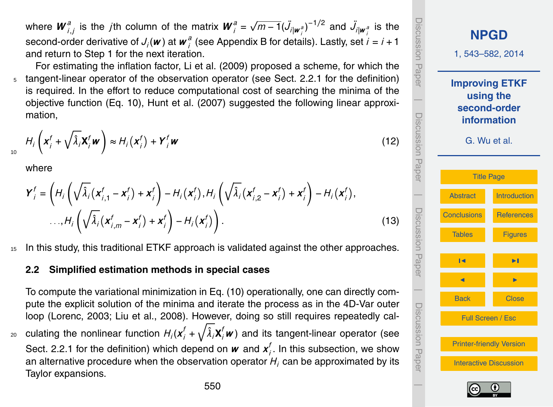where  $\bm{W}_i^a$  $\int_{i,j}^{a}$  is the *j*th column of the matrix  $\boldsymbol{W}_{i}^{a} =$  $\sqrt{m-1}(\ddot{J}_{i|\mathbf{w}^{\beta}_{i}})^{-1/2}$  and  $\ddot{J}_{i|\mathbf{w}^{\beta}_{i}}$  is the second-order derivative of  $J_i(\boldsymbol{w})$  at  $\boldsymbol{w}_i^a$ *i* (see Appendix B for details). Lastly, set *i* = *i* +1 and return to Step 1 for the next iteration.

For estimating the inflation factor, Li et al. (2009) proposed a scheme, for which the tangent-linear operator of the observation operator (see Sect. 2.2.1 for the definition) is required. In the effort to reduce computational cost of searching the minima of the objective function (Eq. 10), Hunt et al. (2007) suggested the following linear approximation,

$$
H_i\left(\mathbf{x}_i^f + \sqrt{\hat{\lambda}_i}\mathbf{X}_i^f\mathbf{w}\right) \approx H_i\left(\mathbf{x}_i^f\right) + \mathbf{Y}_i^f\mathbf{w}
$$
\n(12)

where

*Y*

10

$$
\mathbf{Y}_{i}^{f} = \left( H_{i} \left( \sqrt{\hat{\lambda}_{i}} (\mathbf{x}_{i,1}^{f} - \mathbf{x}_{i}^{f}) + \mathbf{x}_{i}^{f} \right) - H_{i} (\mathbf{x}_{i}^{f}), H_{i} \left( \sqrt{\hat{\lambda}_{i}} (\mathbf{x}_{i,2}^{f} - \mathbf{x}_{i}^{f}) + \mathbf{x}_{i}^{f} \right) - H_{i} (\mathbf{x}_{i}^{f}),
$$
  
...,
$$
H_{i} \left( \sqrt{\hat{\lambda}_{i}} (\mathbf{x}_{i,m}^{f} - \mathbf{x}_{i}^{f}) + \mathbf{x}_{i}^{f} \right) - H_{i} (\mathbf{x}_{i}^{f}) \right). \tag{13}
$$

<sup>15</sup> In this study, this traditional ETKF approach is validated against the other approaches.

#### **2.2 Simplified estimation methods in special cases**

To compute the variational minimization in Eq. (10) operationally, one can directly compute the explicit solution of the minima and iterate the process as in the 4D-Var outer loop (Lorenc, 2003; Liu et al., 2008). However, doing so still requires repeatedly cal- $_2$ o culating the nonlinear function  $H_i(\pmb{x}^f_i+\sqrt{\hat{\lambda}_i}\pmb{X}^f_i\pmb{w})$  and its tangent-linear operator (see Sect. 2.2.1 for the definition) which depend on  $w$  and  $x_i^t$ *i* . In this subsection, we show an alternative procedure when the observation operator  $H_i$  can be approximated by its Taylor expansions.

**[NPGD](http://www.nonlin-processes-geophys-discuss.net)** 1, 543–582, 2014 **Improving ETKF using the second-order information** G. Wu et al. [Title Page](#page-0-0) [Abstract](#page-1-0) [Introduction](#page-1-0) [Conclusions](#page-20-0) [References](#page-31-0) [Tables](#page-35-0) [Figures](#page-38-0) J I J I Back Close Full Screen / Esc [Printer-friendly Version](http://www.nonlin-processes-geophys-discuss.net/1/543/2014/npgd-1-543-2014-print.pdf) [Interactive Discussion](http://www.nonlin-processes-geophys-discuss.net/1/543/2014/npgd-1-543-2014-discussion.html) Discussion Paper | Discussion Paper | Discussion Paper |Discussion Paper



 $\overline{\phantom{a}}$ 

phillipsion Labe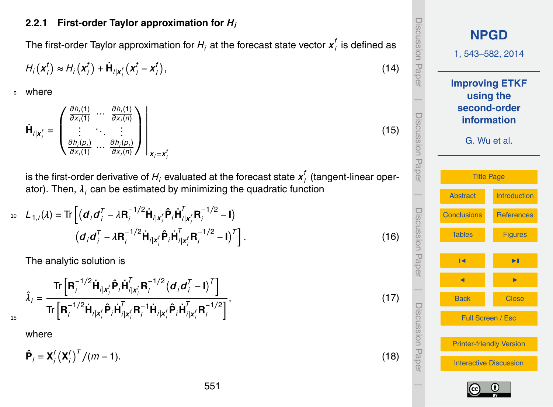#### **2.2.1 First-order Taylor approximation for** *H<sup>i</sup>*

The first-order Taylor approximation for  $H_i$  at the forecast state vector  $\boldsymbol{x}^t_i$ *i* is defined as

$$
H_i\left(\boldsymbol{x}_i^t\right) \approx H_i\left(\boldsymbol{x}_i^t\right) + \dot{\mathbf{H}}_{i|\boldsymbol{x}_i^t}\left(\boldsymbol{x}_i^t - \boldsymbol{x}_i^t\right),\tag{14}
$$

<sup>5</sup> where

$$
\dot{\mathbf{H}}_{i|\mathbf{x}_{i}^{f}} = \begin{pmatrix} \frac{\partial h_{i}(1)}{\partial x_{i}(1)} & \cdots & \frac{\partial h_{i}(1)}{\partial x_{i}(n)} \\ \vdots & \ddots & \vdots \\ \frac{\partial h_{i}(p_{i})}{\partial x_{i}(1)} & \cdots & \frac{\partial h_{i}(p_{i})}{\partial x_{i}(n)} \end{pmatrix}_{\mathbf{x}_{i} = \mathbf{x}_{i}^{f}}
$$

is the first-order derivative of  $H_i$  evaluated at the forecast state  $\boldsymbol{\mathsf{x}}_i^t$ *i* (tangent-linear operator). Then,  $\lambda_i$  can be estimated by minimizing the quadratic function

$$
L_{1,i}(\lambda) = \text{Tr}\left[ (d_i d_i^T - \lambda \mathbf{R}_i^{-1/2} \dot{\mathbf{H}}_{i|x_i'} \hat{\mathbf{P}}_i \dot{\mathbf{H}}_{i|x_i'}^T \mathbf{R}_i^{-1/2} - \mathbf{I}) \right]
$$

$$
(d_i d_i^T - \lambda \mathbf{R}_i^{-1/2} \dot{\mathbf{H}}_{i|x_i'} \hat{\mathbf{P}}_i \dot{\mathbf{H}}_{i|x_i'}^T \mathbf{R}_i^{-1/2} - \mathbf{I})^T \right].
$$
(16)

The analytic solution is

$$
\hat{\lambda}_{i} = \frac{\text{Tr}\left[\mathbf{R}_{i}^{-1/2}\dot{\mathbf{H}}_{i|\mathbf{x}_{i}^{f}}\hat{\mathbf{P}}_{i}\dot{\mathbf{H}}_{i|\mathbf{x}_{i}^{f}}^{T}\mathbf{R}_{i}^{-1/2}\left(\mathbf{d}_{i}\mathbf{d}_{i}^{T}-\mathbf{I}\right)^{T}\right]}{\text{Tr}\left[\mathbf{R}_{i}^{-1/2}\dot{\mathbf{H}}_{i|\mathbf{x}_{i}^{f}}\hat{\mathbf{P}}_{i}\dot{\mathbf{H}}_{i|\mathbf{x}_{i}^{f}}^{T}\mathbf{R}_{i}^{-1}\dot{\mathbf{H}}_{i|\mathbf{x}_{i}^{f}}\hat{\mathbf{P}}_{i}\dot{\mathbf{H}}_{i|\mathbf{x}_{i}^{f}}^{T}\mathbf{R}_{i}^{-1/2}\right]},
$$
\n(17)

where

15

$$
\hat{\mathbf{P}}_i = \mathbf{X}_i^f \left( \mathbf{X}_i^f \right)^T / (m - 1). \tag{18}
$$

551



(15)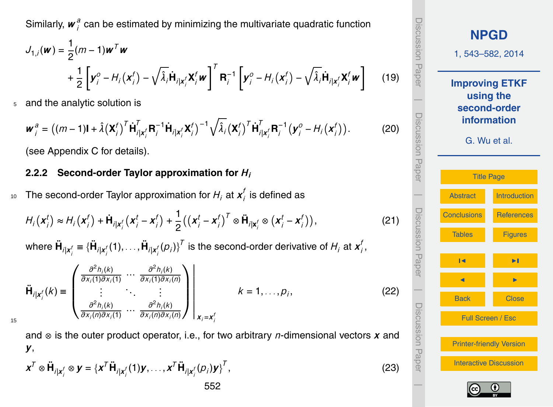<span id="page-9-0"></span>Similarly, *w a*  $\frac{a}{i}$  can be estimated by minimizing the multivariate quadratic function

$$
J_{1,i}(\boldsymbol{w}) = \frac{1}{2}(m-1)\boldsymbol{w}^T\boldsymbol{w}
$$
  
+ 
$$
\frac{1}{2}\left[\boldsymbol{y}_i^0 - H_i(\boldsymbol{x}_i^f) - \sqrt{\lambda_i}\dot{\mathbf{H}}_{i|\boldsymbol{x}_i^f}\boldsymbol{X}_i^f\boldsymbol{w}\right]^T \mathbf{R}_i^{-1} \left[\boldsymbol{y}_i^0 - H_i(\boldsymbol{x}_i^f) - \sqrt{\lambda_i}\dot{\mathbf{H}}_{i|\boldsymbol{x}_i^f}\boldsymbol{X}_i^f\boldsymbol{w}\right]
$$
(19)

<sup>5</sup> and the analytic solution is

$$
\boldsymbol{w}_{i}^{a} = ((m-1)\mathbf{I} + \hat{\lambda}(\mathbf{X}_{i}^{f})^{T} \dot{\mathbf{H}}_{i|\mathbf{x}_{i}^{f}}^{T} \mathbf{R}_{i}^{-1} \dot{\mathbf{H}}_{i|\mathbf{x}_{i}^{f}} \mathbf{X}_{i}^{f})^{-1} \sqrt{\hat{\lambda}_{i}} (\mathbf{X}_{i}^{f})^{T} \dot{\mathbf{H}}_{i|\mathbf{x}_{i}^{f}}^{T} \mathbf{R}_{i}^{-1} (\mathbf{y}_{i}^{o} - H_{i}(\mathbf{x}_{i}^{f})).
$$
 (20)

(see Appendix C for details).

#### **2.2.2 Second-order Taylor approximation for** *H<sup>i</sup>*

The second-order Taylor approximation for  $H_i$  at  $\boldsymbol{x}^t_i$  $_{10}$  The second-order Taylor approximation for  $H_{j}$  at  $\boldsymbol{x}'_{j}$  is defined as

$$
H_i\left(\boldsymbol{x}_i^t\right) \approx H_i\left(\boldsymbol{x}_i^f\right) + \dot{\mathbf{H}}_{i|\boldsymbol{x}_i^f}\left(\boldsymbol{x}_i^t - \boldsymbol{x}_i^f\right) + \frac{1}{2}\left(\left(\boldsymbol{x}_i^t - \boldsymbol{x}_i^f\right)^T \otimes \ddot{\mathbf{H}}_{i|\boldsymbol{x}_i^f} \otimes \left(\boldsymbol{x}_i^t - \boldsymbol{x}_i^f\right)\right),\tag{21}
$$

where  $\ddot{\bm{\mathsf{H}}}_{i|\bm{x}^f_i} \equiv \{\ddot{\bm{\mathsf{H}}}_{i|\bm{x}^f_i}(1),\ldots,\ddot{\bm{\mathsf{H}}}_{i|\bm{x}^f_i}(p_i)\}^T$  is the second-order derivative of  $H_i$  at  $\bm{x}^f_i$ *i* ,

$$
\ddot{\mathbf{H}}_{i|\mathbf{x}_{i}^{f}}(k) \equiv \begin{pmatrix} \frac{\partial^{2}h_{i}(k)}{\partial x_{i}(1)\partial x_{i}(1)} & \cdots & \frac{\partial^{2}h_{i}(k)}{\partial x_{i}(1)\partial x_{i}(n)} \\ \vdots & \ddots & \vdots \\ \frac{\partial^{2}h_{i}(k)}{\partial x_{i}(n)\partial x_{i}(1)} & \cdots & \frac{\partial^{2}h_{i}(k)}{\partial x_{i}(n)\partial x_{i}(n)} \end{pmatrix} \begin{pmatrix} k = 1, \ldots, p_{i}, \end{pmatrix}
$$
(22)

15

and ⊗ is the outer product operator, i.e., for two arbitrary *n*-dimensional vectors *x* and *y*,

$$
\mathbf{x}^T \otimes \ddot{\mathbf{H}}_{i|\mathbf{x}_i^f} \otimes \mathbf{y} = {\mathbf{x}^T \ddot{\mathbf{H}}_{i|\mathbf{x}_i^f}(1)\mathbf{y}, \dots, \mathbf{x}^T \ddot{\mathbf{H}}_{i|\mathbf{x}_i^f}(p_i)\mathbf{y}_i^T},
$$
(23)



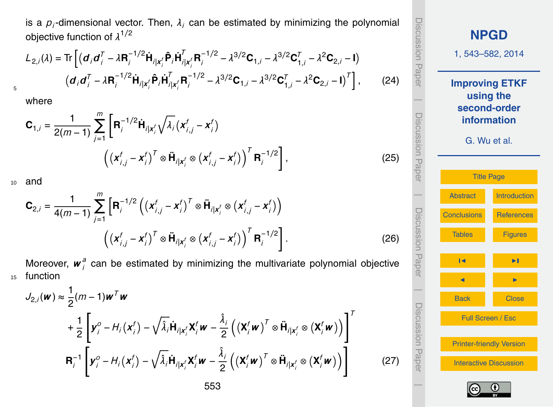<span id="page-10-0"></span>is a  $\rho_i$ -dimensional vector. Then,  $\lambda_i$  can be estimated by minimizing the polynomial objective function of *λ* 1*/*2

$$
L_{2,i}(\lambda) = \text{Tr}\left[ (\mathbf{d}_i \mathbf{d}_i^T - \lambda \mathbf{R}_i^{-1/2} \dot{\mathbf{H}}_{i|\mathbf{x}_i'} \hat{\mathbf{P}}_i \dot{\mathbf{H}}_{i|\mathbf{x}_i'}^T \mathbf{R}_i^{-1/2} - \lambda^{3/2} \mathbf{C}_{1,i} - \lambda^{3/2} \mathbf{C}_{1,i}^T - \lambda^2 \mathbf{C}_{2,i} - \mathbf{I}) \right]
$$

$$
(\mathbf{d}_i \mathbf{d}_i^T - \lambda \mathbf{R}_i^{-1/2} \dot{\mathbf{H}}_{i|\mathbf{x}_i'} \hat{\mathbf{P}}_i \dot{\mathbf{H}}_{i|\mathbf{x}_i'}^T \mathbf{R}_i^{-1/2} - \lambda^{3/2} \mathbf{C}_{1,i} - \lambda^{3/2} \mathbf{C}_{1,i}^T - \lambda^2 \mathbf{C}_{2,i} - \mathbf{I})^T \right],
$$
(24)

where

5

$$
\mathbf{C}_{1,i} = \frac{1}{2(m-1)} \sum_{j=1}^{m} \left[ \mathbf{R}_{i}^{-1/2} \dot{\mathbf{H}}_{i|x_{i}^{f}} \sqrt{\lambda_{i}} (x_{i,j}^{f} - x_{i}^{f}) - \left( (x_{i,j}^{f} - x_{i}^{f})^{T} \otimes \ddot{\mathbf{H}}_{i|x_{i}^{f}} \otimes (x_{i,j}^{f} - x_{i}^{f}) \right)^{T} \mathbf{R}_{i}^{-1/2} \right],
$$
\n(25)

<sup>10</sup> and

$$
\mathbf{C}_{2,i} = \frac{1}{4(m-1)} \sum_{j=1}^{m} \left[ \mathbf{R}_{i}^{-1/2} \left( \left( \mathbf{x}_{i,j}^{f} - \mathbf{x}_{i}^{f} \right)^{T} \otimes \ddot{\mathbf{H}}_{i | \mathbf{x}_{i}^{f}} \otimes \left( \mathbf{x}_{i,j}^{f} - \mathbf{x}_{i}^{f} \right) \right) \right. \\ \left. \left( \left( \mathbf{x}_{i,j}^{f} - \mathbf{x}_{i}^{f} \right)^{T} \otimes \ddot{\mathbf{H}}_{i | \mathbf{x}_{i}^{f}} \otimes \left( \mathbf{x}_{i,j}^{f} - \mathbf{x}_{i}^{f} \right) \right)^{T} \mathbf{R}_{i}^{-1/2} \right]. \tag{26}
$$

Moreover, *w a i* can be estimated by minimizing the multivariate polynomial objective 15 function

$$
J_{2,i}(\boldsymbol{w}) \approx \frac{1}{2} (m-1) \boldsymbol{w}^T \boldsymbol{w}
$$
  
+ 
$$
\frac{1}{2} \left[ \boldsymbol{y}_i^0 - H_i(\boldsymbol{x}_i^f) - \sqrt{\hat{\lambda}_i} \dot{\boldsymbol{H}}_{i|\boldsymbol{x}_i^f} \boldsymbol{X}_i^f \boldsymbol{w} - \frac{\hat{\lambda}_i}{2} \left( (\boldsymbol{X}_i^f \boldsymbol{w})^T \otimes \ddot{\boldsymbol{H}}_{i|\boldsymbol{x}_i^f} \otimes (\boldsymbol{X}_i^f \boldsymbol{w}) \right) \right]^T
$$
  

$$
\boldsymbol{R}_i^{-1} \left[ \boldsymbol{y}_i^0 - H_i(\boldsymbol{x}_i^f) - \sqrt{\hat{\lambda}_i} \dot{\boldsymbol{H}}_{i|\boldsymbol{x}_i^f} \boldsymbol{X}_i^f \boldsymbol{w} - \frac{\hat{\lambda}_i}{2} \left( (\boldsymbol{X}_i^f \boldsymbol{w})^T \otimes \ddot{\boldsymbol{H}}_{i|\boldsymbol{x}_i^f} \otimes (\boldsymbol{X}_i^f \boldsymbol{w}) \right) \right]
$$





(27)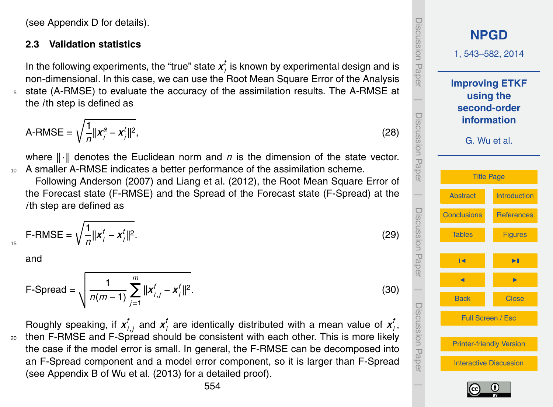(see Appendix D for details).

#### **2.3 Validation statistics**

In the following experiments, the "true" state  $x_i^t$  $\frac{\iota}{\iota}$  is known by experimental design and is non-dimensional. In this case, we can use the Root Mean Square Error of the Analysis <sup>5</sup> state (A-RMSE) to evaluate the accuracy of the assimilation results. The A-RMSE at

the *i*th step is defined as

$$
A\text{-RMSE} = \sqrt{\frac{1}{n} ||x_i^a - x_i^t||^2},\tag{28}
$$

where  $\|\cdot\|$  denotes the Euclidean norm and *n* is the dimension of the state vector. <sup>10</sup> A smaller A-RMSE indicates a better performance of the assimilation scheme.

Following Anderson (2007) and Liang et al. (2012), the Root Mean Square Error of the Forecast state (F-RMSE) and the Spread of the Forecast state (F-Spread) at the *i*th step are defined as

$$
F\text{-RMSE} = \sqrt{\frac{1}{n} ||x_i^f - x_i^t||^2}.
$$
 (29)

and

15

$$
\text{F-Spread} = \sqrt{\frac{1}{n(m-1)} \sum_{j=1}^{m} ||\mathbf{x}_{i,j}^{f} - \mathbf{x}_{j}^{f}||^{2}}.
$$
 (30)

Roughly speaking, if *x f*  $_{i,j}^{\mathit{f}}$  and  $\boldsymbol{x}_{i}^{\mathit{t}}$  $\boldsymbol{z}^t_i$  are identically distributed with a mean value of  $\boldsymbol{x}^t_i$ *i* , <sup>20</sup> then F-RMSE and F-Spread should be consistent with each other. This is more likely the case if the model error is small. In general, the F-RMSE can be decomposed into an F-Spread component and a model error component, so it is larger than F-Spread (see Appendix B of Wu et al. (2013) for a detailed proof).

Discussion Paper**[NPGD](http://www.nonlin-processes-geophys-discuss.net)** 1, 543–582, 2014 **Improving ETKF using the** |**second-order** Discussion Paper**information** G. Wu et al. [Title Page](#page-0-0) |[Abstract](#page-1-0) [Introduction](#page-1-0) Discussion Paper[Conclusions](#page-20-0) [References](#page-31-0) [Tables](#page-35-0) [Figures](#page-38-0) J I J I | Discussion PaperBack Close Full Screen / Esc [Printer-friendly Version](http://www.nonlin-processes-geophys-discuss.net/1/543/2014/npgd-1-543-2014-print.pdf) [Interactive Discussion](http://www.nonlin-processes-geophys-discuss.net/1/543/2014/npgd-1-543-2014-discussion.html) |

UISCUSSION Fap

**TIOISSIDSIC** 

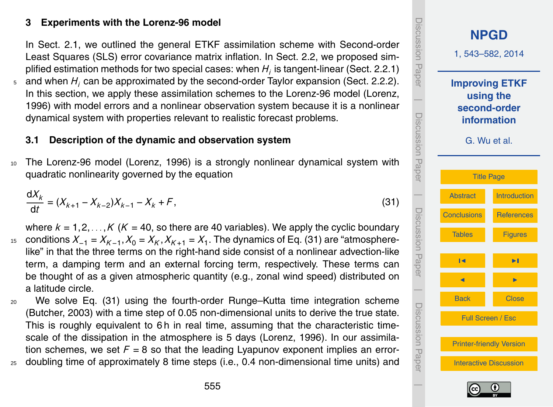## **3 Experiments with the Lorenz-96 model**

In Sect. 2.1, we outlined the general ETKF assimilation scheme with Second-order Least Squares (SLS) error covariance matrix inflation. In Sect. 2.2, we proposed simplified estimation methods for two special cases: when  $H_i$  is tangent-linear (Sect. 2.2.1)

<sup>5</sup> and when *H<sup>i</sup>* can be approximated by the second-order Taylor expansion (Sect. 2.2.2). In this section, we apply these assimilation schemes to the Lorenz-96 model (Lorenz, 1996) with model errors and a nonlinear observation system because it is a nonlinear dynamical system with properties relevant to realistic forecast problems.

## **3.1 Description of the dynamic and observation system**

<sup>10</sup> The Lorenz-96 model (Lorenz, 1996) is a strongly nonlinear dynamical system with quadratic nonlinearity governed by the equation

$$
\frac{dX_k}{dt} = (X_{k+1} - X_{k-2})X_{k-1} - X_k + F,
$$
\n(31)

where  $k = 1, 2, \ldots, K$  ( $K = 40$ , so there are 40 variables). We apply the cyclic boundary  $x_1$ <sub>5</sub> conditions  $X_{-1} = X_{K-1}$ ,  $X_0 = X_K$ ,  $X_{K+1} = X_1$ . The dynamics of Eq. (31) are "atmospherelike" in that the three terms on the right-hand side consist of a nonlinear advection-like term, a damping term and an external forcing term, respectively. These terms can be thought of as a given atmospheric quantity (e.g., zonal wind speed) distributed on a latitude circle.

- <sup>20</sup> We solve Eq. (31) using the fourth-order Runge–Kutta time integration scheme (Butcher, 2003) with a time step of 0.05 non-dimensional units to derive the true state. This is roughly equivalent to 6h in real time, assuming that the characteristic timescale of the dissipation in the atmosphere is 5 days (Lorenz, 1996). In our assimilation schemes, we set  $F = 8$  so that the leading Lyapunov exponent implies an error-
- <sup>25</sup> doubling time of approximately 8 time steps (i.e., 0.4 non-dimensional time units) and



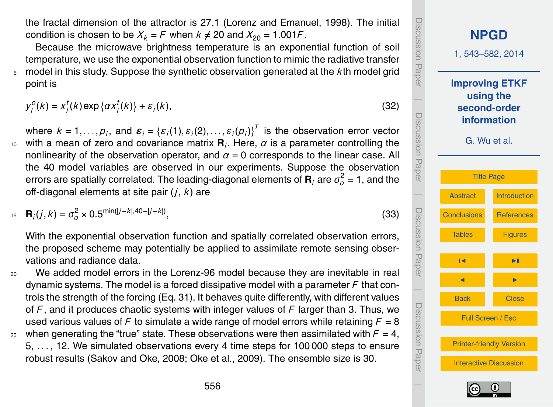the fractal dimension of the attractor is 27.1 (Lorenz and Emanuel, 1998). The initial condition is chosen to be  $X_k = F$  when  $k \neq 20$  and  $X_{20} = 1.001F$ .

Because the microwave brightness temperature is an exponential function of soil temperature, we use the exponential observation function to mimic the radiative transfer <sup>5</sup> model in this study. Suppose the synthetic observation generated at the *k*th model grid point is

$$
y_j^o(k) = x_j^t(k) \exp\{\alpha x_j^t(k)\} + \varepsilon_j(k),
$$
\n(32)

where  $k = 1, \ldots, p_j$ , and  $\boldsymbol{\varepsilon}_j = \{\varepsilon_j(1), \varepsilon_j(2), \ldots, \varepsilon_j(p_j)\}^T$  is the observation error vector  $10$  with a mean of zero and covariance matrix **. Here,**  $\alpha$  **is a parameter controlling the** nonlinearity of the observation operator, and  $\alpha = 0$  corresponds to the linear case. All the 40 model variables are observed in our experiments. Suppose the observation errors are spatially correlated. The leading-diagonal elements of  $\textbf{R}_i$  are  $\sigma_o^2$  = 1, and the off-diagonal elements at site pair (*j*, *k*) are

$$
B_j(j,k) = \sigma_o^2 \times 0.5^{\min(|j-k|,40-|j-k|)},
$$
\n(33)

With the exponential observation function and spatially correlated observation errors, the proposed scheme may potentially be applied to assimilate remote sensing observations and radiance data.

<sup>20</sup> We added model errors in the Lorenz-96 model because they are inevitable in real dynamic systems. The model is a forced dissipative model with a parameter *F* that controls the strength of the forcing (Eq. 31). It behaves quite differently, with different values of *F* , and it produces chaotic systems with integer values of *F* larger than 3. Thus, we used various values of F to simulate a wide range of model errors while retaining  $F = 8$ <sup>25</sup> when generating the "true" state. These observations were then assimilated with  $F = 4$ .

5, . . . , 12. We simulated observations every 4 time steps for 100 000 steps to ensure robust results (Sakov and Oke, 2008; Oke et al., 2009). The ensemble size is 30.

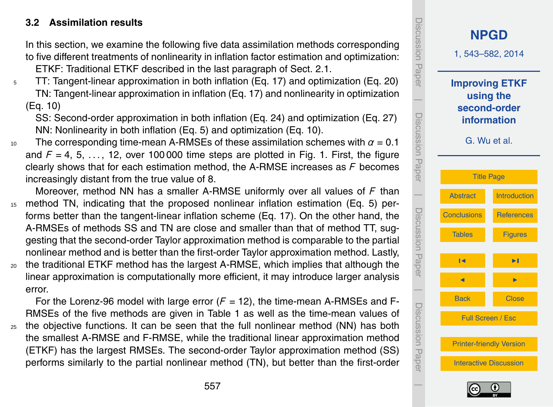## **3.2 Assimilation results**

In this section, we examine the following five data assimilation methods corresponding to five different treatments of nonlinearity in inflation factor estimation and optimization: ETKF: Traditional ETKF described in the last paragraph of Sect. 2.1.

<sup>5</sup> TT: Tangent-linear approximation in both inflation (Eq. 17) and optimization (Eq. 20) TN: Tangent-linear approximation in inflation (Eq. 17) and nonlinearity in optimization (Eq. 10)

SS: Second-order approximation in both inflation (Eq. 24) and optimization (Eq. [27\)](#page-10-0) NN: Nonlinearity in both inflation (Eq. 5) and optimization (Eq. 10).

- 10 The corresponding time-mean A-RMSEs of these assimilation schemes with  $\alpha = 0.1$ and  $F = 4, 5, \ldots$ , 12, over 100 000 time steps are plotted in Fig. 1. First, the figure clearly shows that for each estimation method, the A-RMSE increases as *F* becomes increasingly distant from the true value of 8.
- Moreover, method NN has a smaller A-RMSE uniformly over all values of *F* than <sup>15</sup> method TN, indicating that the proposed nonlinear inflation estimation (Eq. 5) performs better than the tangent-linear inflation scheme (Eq. 17). On the other hand, the A-RMSEs of methods SS and TN are close and smaller than that of method TT, suggesting that the second-order Taylor approximation method is comparable to the partial nonlinear method and is better than the first-order Taylor approximation method. Lastly, <sup>20</sup> the traditional ETKF method has the largest A-RMSE, which implies that although the
- linear approximation is computationally more efficient, it may introduce larger analysis error.

For the Lorenz-96 model with large error  $(F = 12)$ , the time-mean A-RMSEs and F-RMSEs of the five methods are given in Table 1 as well as the time-mean values of <sup>25</sup> the objective functions. It can be seen that the full nonlinear method (NN) has both the smallest A-RMSE and F-RMSE, while the traditional linear approximation method

(ETKF) has the largest RMSEs. The second-order Taylor approximation method (SS) performs similarly to the partial nonlinear method (TN), but better than the first-order



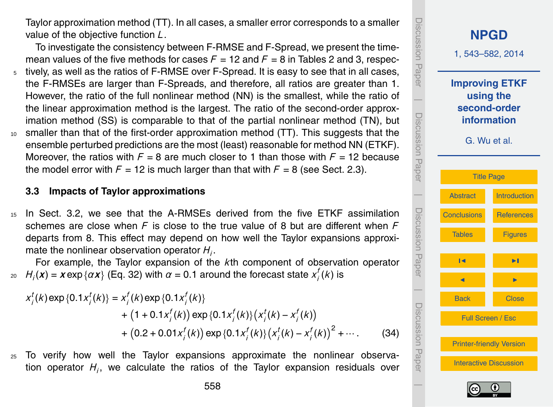Taylor approximation method (TT). In all cases, a smaller error corresponds to a smaller value of the objective function *L*.

To investigate the consistency between F-RMSE and F-Spread, we present the timemean values of the five methods for cases  $F = 12$  and  $F = 8$  in Tables 2 and 3, respec-<sup>5</sup> tively, as well as the ratios of F-RMSE over F-Spread. It is easy to see that in all cases, the F-RMSEs are larger than F-Spreads, and therefore, all ratios are greater than 1. However, the ratio of the full nonlinear method (NN) is the smallest, while the ratio of the linear approximation method is the largest. The ratio of the second-order approximation method (SS) is comparable to that of the partial nonlinear method (TN), but <sup>10</sup> smaller than that of the first-order approximation method (TT). This suggests that the ensemble perturbed predictions are the most (least) reasonable for method NN (ETKF). Moreover, the ratios with  $F = 8$  are much closer to 1 than those with  $F = 12$  because

# **3.3 Impacts of Taylor approximations**

<sup>15</sup> In Sect. 3.2, we see that the A-RMSEs derived from the five ETKF assimilation schemes are close when *F* is close to the true value of 8 but are different when *F* departs from 8. This effect may depend on how well the Taylor expansions approximate the nonlinear observation operator *H<sup>i</sup>* .

the model error with  $F = 12$  is much larger than that with  $F = 8$  (see Sect. 2.3).

For example, the Taylor expansion of the *k*th component of observation operator  $H_i(\bm{x}) = \bm{x}$  exp  $\{\alpha \bm{x}\}$  (Eq. 32) with  $\alpha = 0.1$  around the forecast state  $x_i^f$  $\mu_i(\bm{x}) = \bm{x}$  exp  $\{\alpha \bm{x}\}$  (Eq. 32) with  $\alpha = 0.1$  around the forecast state  $x_i'(k)$  is

$$
x_{i}^{t}(k) \exp\{0.1x_{i}^{t}(k)\} = x_{i}^{f}(k) \exp\{0.1x_{i}^{f}(k)\} + (1 + 0.1x_{i}^{f}(k)) \exp\{0.1x_{i}^{f}(k)\} \left(x_{i}^{t}(k) - x_{i}^{f}(k)\right) + (0.2 + 0.01x_{i}^{f}(k)) \exp\{0.1x_{i}^{f}(k)\} \left(x_{i}^{t}(k) - x_{i}^{f}(k)\right)^{2} + \cdots
$$
 (34)

<sup>25</sup> To verify how well the Taylor expansions approximate the nonlinear observation operator *H<sup>i</sup>* , we calculate the ratios of the Taylor expansion residuals over



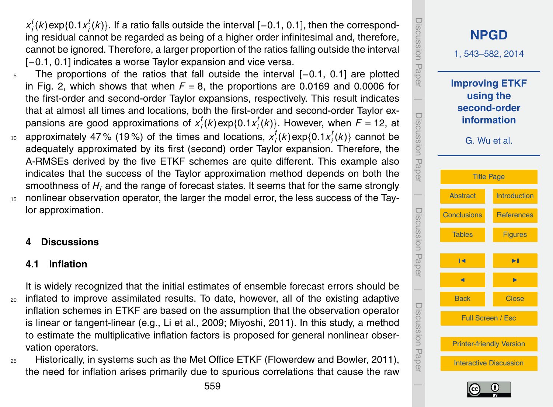*x t*  $\int_{i}^{t}$ (*k*)exp{0.1*x*<sup>*t*</sup><sub>*i*</sub> *i* (*k*)}. If a ratio falls outside the interval [−0.1, 0.1], then the corresponding residual cannot be regarded as being of a higher order infinitesimal and, therefore, cannot be ignored. Therefore, a larger proportion of the ratios falling outside the interval [-0.1, 0.1] indicates a worse Taylor expansion and vice versa.

- The proportions of the ratios that fall outside the interval [−0.1, 0.1] are plotted in Fig. 2, which shows that when  $F = 8$ , the proportions are 0.0169 and 0.0006 for the first-order and second-order Taylor expansions, respectively. This result indicates that at almost all times and locations, both the first-order and second-order Taylor expansions are good approximations of *x t*  $\int_i^t (k) \exp\{0.1 x_i^t\}$  $\{f_i^l(k)\}$ . However, when  $F = 12$ , at
- approximately 47% (19%) of the times and locations,  $x_i^t$  $\int_i^t (k) \exp\{0.1 x_i^t\}$ <sup>10</sup> approximately 47% (19%) of the times and locations,  $x_i^{\prime} (k)$ exp $\{0.1 x_i^{\prime} (k)\}$  cannot be adequately approximated by its first (second) order Taylor expansion. Therefore, the A-RMSEs derived by the five ETKF schemes are quite different. This example also indicates that the success of the Taylor approximation method depends on both the smoothness of *H<sup>i</sup>* and the range of forecast states. It seems that for the same strongly
- <sup>15</sup> nonlinear observation operator, the larger the model error, the less success of the Taylor approximation.

## **4 Discussions**

## **4.1 Inflation**

It is widely recognized that the initial estimates of ensemble forecast errors should be <sup>20</sup> inflated to improve assimilated results. To date, however, all of the existing adaptive inflation schemes in ETKF are based on the assumption that the observation operator is linear or tangent-linear (e.g., Li et al., 2009; Miyoshi, 2011). In this study, a method to estimate the multiplicative inflation factors is proposed for general nonlinear observation operators.

<sup>25</sup> Historically, in systems such as the Met Office ETKF (Flowerdew and Bowler, 2011), the need for inflation arises primarily due to spurious correlations that cause the raw



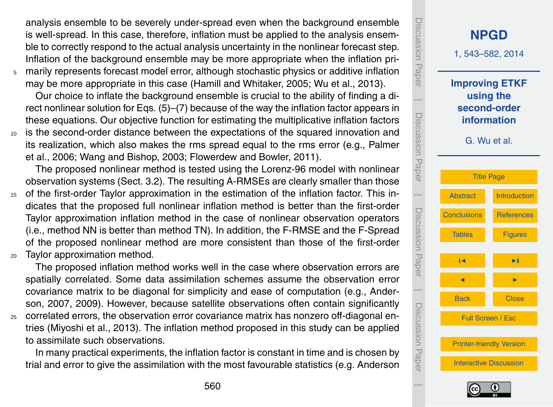analysis ensemble to be severely under-spread even when the background ensemble is well-spread. In this case, therefore, inflation must be applied to the analysis ensemble to correctly respond to the actual analysis uncertainty in the nonlinear forecast step. Inflation of the background ensemble may be more appropriate when the inflation pri-

<sup>5</sup> marily represents forecast model error, although stochastic physics or additive inflation may be more appropriate in this case (Hamill and Whitaker, 2005; Wu et al., 2013).

Our choice to inflate the background ensemble is crucial to the ability of finding a direct nonlinear solution for Eqs. (5)–(7) because of the way the inflation factor appears in these equations. Our objective function for estimating the multiplicative inflation factors <sup>10</sup> is the second-order distance between the expectations of the squared innovation and

its realization, which also makes the rms spread equal to the rms error (e.g., Palmer et al., 2006; Wang and Bishop, 2003; Flowerdew and Bowler, 2011).

The proposed nonlinear method is tested using the Lorenz-96 model with nonlinear observation systems (Sect. 3.2). The resulting A-RMSEs are clearly smaller than those

<sup>15</sup> of the first-order Taylor approximation in the estimation of the inflation factor. This indicates that the proposed full nonlinear inflation method is better than the first-order Taylor approximation inflation method in the case of nonlinear observation operators (i.e., method NN is better than method TN). In addition, the F-RMSE and the F-Spread of the proposed nonlinear method are more consistent than those of the first-order <sup>20</sup> Taylor approximation method.

The proposed inflation method works well in the case where observation errors are spatially correlated. Some data assimilation schemes assume the observation error covariance matrix to be diagonal for simplicity and ease of computation (e.g., Anderson, 2007, 2009). However, because satellite observations often contain significantly <sup>25</sup> correlated errors, the observation error covariance matrix has nonzero off-diagonal entries (Miyoshi et al., 2013). The inflation method proposed in this study can be applied to assimilate such observations.

In many practical experiments, the inflation factor is constant in time and is chosen by trial and error to give the assimilation with the most favourable statistics (e.g. Anderson



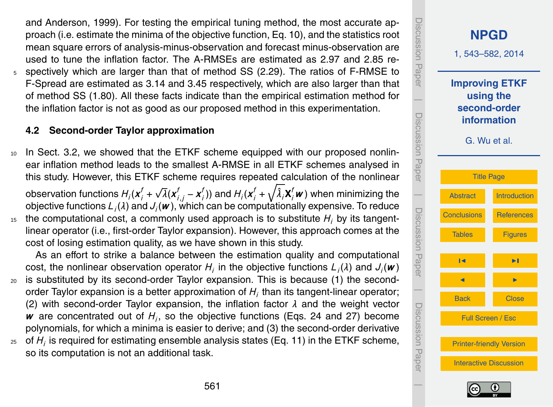and Anderson, 1999). For testing the empirical tuning method, the most accurate approach (i.e. estimate the minima of the objective function, Eq. 10), and the statistics root mean square errors of analysis-minus-observation and forecast minus-observation are used to tune the inflation factor. The A-RMSEs are estimated as 2.97 and 2.85 re-<sup>5</sup> spectively which are larger than that of method SS (2.29). The ratios of F-RMSE to F-Spread are estimated as 3.14 and 3.45 respectively, which are also larger than that of method SS (1.80). All these facts indicate than the empirical estimation method for the inflation factor is not as good as our proposed method in this experimentation.

## **4.2 Second-order Taylor approximation**

<sup>10</sup> In Sect. 3.2, we showed that the ETKF scheme equipped with our proposed nonlinear inflation method leads to the smallest A-RMSE in all ETKF schemes analysed in this study. However, this ETKF scheme requires repeated calculation of the nonlinear

observation functions  $H_i(\boldsymbol{x}^f_i + \boldsymbol{y}^f_i)$ √  $\overline{\lambda}$ ( $\boldsymbol{x}_{i,j}^f$  −  $\boldsymbol{x}_i^f$  $f_j^f$ )) and  $H_i(\pmb{x}^f_i+\sqrt{\hat{\lambda}_i}\pmb{\mathsf{X}}^f_j\pmb{w})$  when minimizing the objective functions *L<sup>i</sup>* (*λ*) and *J<sup>i</sup>* (*w* ), which can be computationally expensive. To reduce

 $15$  the computational cost, a commonly used approach is to substitute  $H_i$  by its tangentlinear operator (i.e., first-order Taylor expansion). However, this approach comes at the cost of losing estimation quality, as we have shown in this study.

As an effort to strike a balance between the estimation quality and computational cost, the nonlinear observation operator  $H_i$  in the objective functions  $L_i(\lambda)$  and  $J_i(\boldsymbol{w})$ <sup>20</sup> is substituted by its second-order Taylor expansion. This is because (1) the secondorder Taylor expansion is a better approximation of  $H_i$  than its tangent-linear operator; (2) with second-order Taylor expansion, the inflation factor *λ* and the weight vector *w* are concentrated out of *H<sup>i</sup>* , so the objective functions (Eqs. 24 and [27\)](#page-10-0) become polynomials, for which a minima is easier to derive; and (3) the second-order derivative  $_{\rm 25-}$  of  $H_{\rm i}$  is required for estimating ensemble analysis states (Eq. [11\)](#page-6-0) in the ETKF scheme,

so its computation is not an additional task.

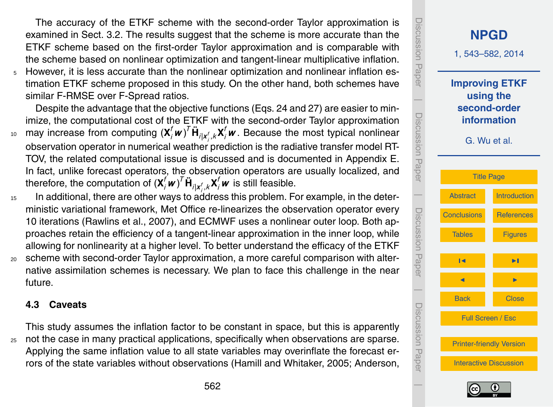The accuracy of the ETKF scheme with the second-order Taylor approximation is examined in Sect. 3.2. The results suggest that the scheme is more accurate than the ETKF scheme based on the first-order Taylor approximation and is comparable with the scheme based on nonlinear optimization and tangent-linear multiplicative inflation.

<sup>5</sup> However, it is less accurate than the nonlinear optimization and nonlinear inflation estimation ETKF scheme proposed in this study. On the other hand, both schemes have similar F-RMSE over F-Spread ratios.

Despite the advantage that the objective functions (Eqs. 24 and [27\)](#page-10-0) are easier to minimize, the computational cost of the ETKF with the second-order Taylor approximation  $\mu_0$  may increase from computing  $({\bf X}_i^f{\bf w})^T{\bf \ddot{H}}_{i|{\bf x}_i^f,k}{\bf X}_i^f{\bf w}$  . Because the most typical nonlinear *i* observation operator in numerical weather prediction is the radiative transfer model RT-TOV, the related computational issue is discussed and is documented in Appendix E. In fact, unlike forecast operators, the observation operators are usually localized, and therefore, the computation of  $({\bf X}_{i}^{f}{\bf \boldsymbol{\nu}})^{T}\ddot{{\bf H}}_{i|{\bf x}_{i}^{f},{\bf k}}{\bf X}_{i}^{f}{\bf \boldsymbol{\nu}}$  is still feasible.

- <sup>15</sup> In additional, there are other ways to address this problem. For example, in the deterministic variational framework, Met Office re-linearizes the observation operator every 10 iterations (Rawlins et al., 2007), and ECMWF uses a nonlinear outer loop. Both approaches retain the efficiency of a tangent-linear approximation in the inner loop, while allowing for nonlinearity at a higher level. To better understand the efficacy of the ETKF <sup>20</sup> scheme with second-order Taylor approximation, a more careful comparison with alter-
- native assimilation schemes is necessary. We plan to face this challenge in the near future.

#### **4.3 Caveats**

This study assumes the inflation factor to be constant in space, but this is apparently <sup>25</sup> not the case in many practical applications, specifically when observations are sparse. Applying the same inflation value to all state variables may overinflate the forecast errors of the state variables without observations (Hamill and Whitaker, 2005; Anderson,



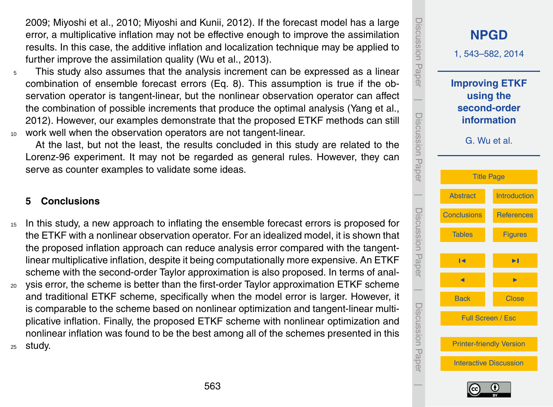<span id="page-20-0"></span>2009; Miyoshi et al., 2010; Miyoshi and Kunii, 2012). If the forecast model has a large error, a multiplicative inflation may not be effective enough to improve the assimilation results. In this case, the additive inflation and localization technique may be applied to further improve the assimilation quality (Wu et al., 2013).

<sup>5</sup> This study also assumes that the analysis increment can be expressed as a linear combination of ensemble forecast errors (Eq. [8\)](#page-6-0). This assumption is true if the observation operator is tangent-linear, but the nonlinear observation operator can affect the combination of possible increments that produce the optimal analysis (Yang et al., 2012). However, our examples demonstrate that the proposed ETKF methods can still <sup>10</sup> work well when the observation operators are not tangent-linear.

At the last, but not the least, the results concluded in this study are related to the Lorenz-96 experiment. It may not be regarded as general rules. However, they can serve as counter examples to validate some ideas.

#### **5 Conclusions**

- <sup>15</sup> In this study, a new approach to inflating the ensemble forecast errors is proposed for the ETKF with a nonlinear observation operator. For an idealized model, it is shown that the proposed inflation approach can reduce analysis error compared with the tangentlinear multiplicative inflation, despite it being computationally more expensive. An ETKF scheme with the second-order Taylor approximation is also proposed. In terms of anal-
- <sup>20</sup> ysis error, the scheme is better than the first-order Taylor approximation ETKF scheme and traditional ETKF scheme, specifically when the model error is larger. However, it is comparable to the scheme based on nonlinear optimization and tangent-linear multiplicative inflation. Finally, the proposed ETKF scheme with nonlinear optimization and nonlinear inflation was found to be the best among all of the schemes presented in this <sup>25</sup> study.



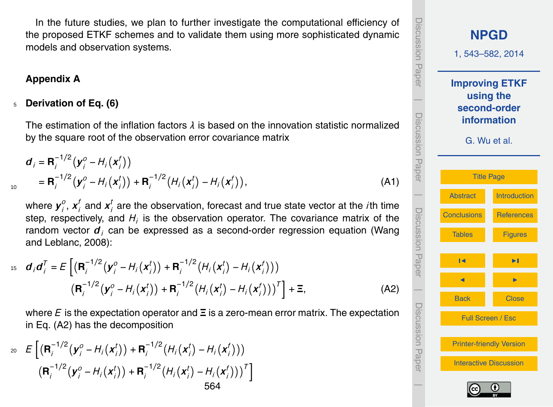In the future studies, we plan to further investigate the computational efficiency of the proposed ETKF schemes and to validate them using more sophisticated dynamic models and observation systems.

## **Appendix A**

10

## <sup>5</sup> **Derivation of Eq. (6)**

The estimation of the inflation factors *λ* is based on the innovation statistic normalized by the square root of the observation error covariance matrix

$$
\mathbf{d}_{i} = \mathbf{R}_{i}^{-1/2} (\mathbf{y}_{i}^{o} - H_{i}(\mathbf{x}_{i}^{f}))
$$
  
=  $\mathbf{R}_{i}^{-1/2} (\mathbf{y}_{i}^{o} - H_{i}(\mathbf{x}_{i}^{t})) + \mathbf{R}_{i}^{-1/2} (H_{i}(\mathbf{x}_{i}^{t}) - H_{i}(\mathbf{x}_{i}^{f})),$  (A1)

where  $\boldsymbol{y}^o_i$  $\frac{o}{i}$ ,  $\boldsymbol{x}_i^f$  $f$ <sub>*i*</sub> and  $\boldsymbol{x}_i^t$ *i* are the observation, forecast and true state vector at the *i*th time step, respectively, and  $H_i$  is the observation operator. The covariance matrix of the random vector *d<sup>i</sup>* can be expressed as a second-order regression equation (Wang and Leblanc, 2008):

$$
15 \quad d_i d_j^T = E \left[ \left( \mathbf{R}_i^{-1/2} (\mathbf{y}_i^0 - H_i(\mathbf{x}_i^t)) + \mathbf{R}_i^{-1/2} (H_i(\mathbf{x}_i^t) - H_i(\mathbf{x}_i^t)) \right) \right. \\ \left. \left( \mathbf{R}_i^{-1/2} (\mathbf{y}_i^0 - H_i(\mathbf{x}_i^t)) + \mathbf{R}_i^{-1/2} (H_i(\mathbf{x}_i^t) - H_i(\mathbf{x}_i^t)) \right)^T \right] + \Xi, \tag{A2}
$$

where *E* is the expectation operator and **Ξ** is a zero-mean error matrix. The expectation in Eq. (A2) has the decomposition

$$
\begin{aligned}\n & \mathcal{E}\left[\left(\mathbf{R}_{i}^{-1/2}\left(\mathbf{y}_{i}^{o}-H_{i}\left(\mathbf{x}_{i}^{t}\right)\right)+\mathbf{R}_{i}^{-1/2}\left(H_{i}\left(\mathbf{x}_{i}^{t}\right)-H_{i}\left(\mathbf{x}_{i}^{t}\right)\right)\right)\right. \\
 &\left.\left(\mathbf{R}_{i}^{-1/2}\left(\mathbf{y}_{i}^{o}-H_{i}\left(\mathbf{x}_{i}^{t}\right)\right)+\mathbf{R}_{i}^{-1/2}\left(H_{i}\left(\mathbf{x}_{i}^{t}\right)-H_{i}\left(\mathbf{x}_{i}^{t}\right)\right)\right)^{T}\right] \\
 & & 564\n \end{aligned}
$$

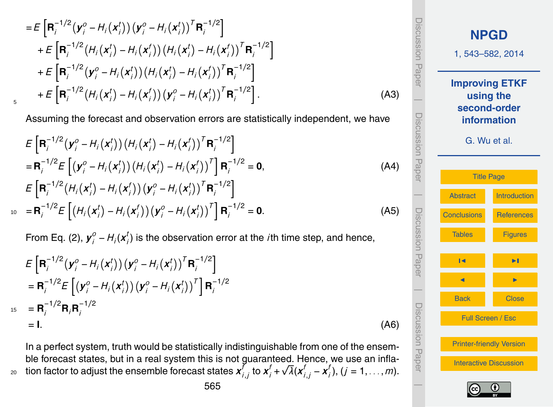$$
=E\left[\mathbf{R}_{i}^{-1/2}(\mathbf{y}_{i}^{o}-H_{i}(\mathbf{x}_{i}^{t}))(\mathbf{y}_{i}^{o}-H_{i}(\mathbf{x}_{i}^{t}))^{T}\mathbf{R}_{i}^{-1/2}\right] +E\left[\mathbf{R}_{i}^{-1/2}(H_{i}(\mathbf{x}_{i}^{t})-H_{i}(\mathbf{x}_{i}^{t}))\left(H_{i}(\mathbf{x}_{i}^{t})-H_{i}(\mathbf{x}_{i}^{t})\right)^{T}\mathbf{R}_{i}^{-1/2}\right] +E\left[\mathbf{R}_{i}^{-1/2}(\mathbf{y}_{i}^{o}-H_{i}(\mathbf{x}_{i}^{t}))\left(H_{i}(\mathbf{x}_{i}^{t})-H_{i}(\mathbf{x}_{i}^{t})\right)^{T}\mathbf{R}_{i}^{-1/2}\right] +E\left[\mathbf{R}_{i}^{-1/2}(H_{i}(\mathbf{x}_{i}^{t})-H_{i}(\mathbf{x}_{i}^{t}))(\mathbf{y}_{i}^{o}-H_{i}(\mathbf{x}_{i}^{t}))^{T}\mathbf{R}_{i}^{-1/2}\right].
$$
\n(A3)

5

Assuming the forecast and observation errors are statistically independent, we have

$$
E\left[\mathbf{R}_{i}^{-1/2}\left(\mathbf{y}_{i}^{o}-H_{i}\left(\mathbf{x}_{i}^{t}\right)\right)\left(H_{i}\left(\mathbf{x}_{i}^{t}\right)-H_{i}\left(\mathbf{x}_{i}^{t}\right)\right)^{T}\mathbf{R}_{i}^{-1/2}\right]
$$
\n
$$
=\mathbf{R}_{i}^{-1/2}E\left[\left(\mathbf{y}_{i}^{o}-H_{i}\left(\mathbf{x}_{i}^{t}\right)\right)\left(H_{i}\left(\mathbf{x}_{i}^{t}\right)-H_{i}\left(\mathbf{x}_{i}^{t}\right)\right)^{T}\right]\mathbf{R}_{i}^{-1/2}=\mathbf{0},
$$
\n
$$
E\left[\mathbf{R}_{i}^{-1/2}\left(H_{i}\left(\mathbf{x}_{i}^{t}\right)-H_{i}\left(\mathbf{x}_{i}^{t}\right)\right)\left(\mathbf{y}_{i}^{o}-H_{i}\left(\mathbf{x}_{i}^{t}\right)\right)^{T}\mathbf{R}_{i}^{-1/2}\right]
$$
\n
$$
=\mathbf{R}_{i}^{-1/2}E\left[\left(H_{i}\left(\mathbf{x}_{i}^{t}\right)-H_{i}\left(\mathbf{x}_{i}^{t}\right)\right)\left(\mathbf{y}_{i}^{o}-H_{i}\left(\mathbf{x}_{i}^{t}\right)\right)^{T}\right]\mathbf{R}_{i}^{-1/2}=\mathbf{0}.
$$
\n(A5)

From Eq. (2),  $y_i^0 - H_i(x_i^t)$ *i* ) is the observation error at the *i*th time step, and hence,

$$
E\left[\mathbf{R}_i^{-1/2}(\mathbf{y}_i^o - H_i(\mathbf{x}_i^t))(\mathbf{y}_i^o - H_i(\mathbf{x}_i^t))^T \mathbf{R}_i^{-1/2}\right]
$$
  
\n
$$
= \mathbf{R}_i^{-1/2} E\left[(\mathbf{y}_i^o - H_i(\mathbf{x}_i^t))(\mathbf{y}_i^o - H_i(\mathbf{x}_i^t))^T\right] \mathbf{R}_i^{-1/2}
$$
  
\n
$$
= \mathbf{R}_i^{-1/2} \mathbf{R}_i \mathbf{R}_i^{-1/2}
$$
  
\n
$$
= \mathbf{I}.
$$
 (A6)

In a perfect system, truth would be statistically indistinguishable from one of the ensemble forecast states, but in a real system this is not guaranteed. Hence, we use an inflation factor to adjust the ensemble forecast states  $x_i^j$  $\int_{i,j}^{f}$  to  $x_i^f$  +  $\sqrt{\lambda}(x_{i,j}^f - x_i^f)$  $z_0$  ) tion factor to adjust the ensemble forecast states  $\bm{x}'_{i,j}$  to  $\bm{x}'_i$  +  $\sqrt{\lambda}(\bm{x}'_{i,j}-\bm{x}'_i),\,(j=1,\ldots,m).$ 



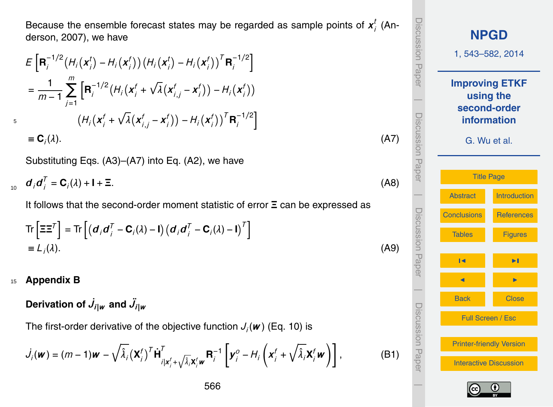Because the ensemble forecast states may be regarded as sample points of  $x_i^t$ *i* (Anderson, 2007), we have

$$
E\left[\mathbf{R}_{i}^{-1/2}\left(H_{i}\left(\mathbf{x}_{i}^{t}\right)-H_{i}\left(\mathbf{x}_{i}^{t}\right)\right)\left(H_{i}\left(\mathbf{x}_{i}^{t}\right)-H_{i}\left(\mathbf{x}_{i}^{t}\right)\right)^{T}\mathbf{R}_{i}^{-1/2}\right]
$$
\n
$$
=\frac{1}{m-1}\sum_{j=1}^{m}\left[\mathbf{R}_{i}^{-1/2}\left(H_{i}\left(\mathbf{x}_{i}^{t}+\sqrt{\lambda}\left(\mathbf{x}_{i,j}^{t}-\mathbf{x}_{i}^{t}\right)\right)-H_{i}\left(\mathbf{x}_{i}^{t}\right)\right)\right]
$$
\n
$$
\left(H_{i}\left(\mathbf{x}_{i}^{t}+\sqrt{\lambda}\left(\mathbf{x}_{i,j}^{t}-\mathbf{x}_{i}^{t}\right)\right)-H_{i}\left(\mathbf{x}_{i}^{t}\right)\right)^{T}\mathbf{R}_{i}^{-1/2}\right]
$$
\n
$$
\equiv\mathbf{C}_{i}(\lambda). \tag{A7}
$$

Substituting Eqs. (A3)–(A7) into Eq. (A2), we have

 $\boldsymbol{d}_i \boldsymbol{d}_i^T$  $d_i d'_i = C_i(\lambda) + I + \Xi.$  (A8)

It follows that the second-order moment statistic of error **Ξ** can be expressed as

$$
\operatorname{Tr}\left[\Xi\Xi^{T}\right] = \operatorname{Tr}\left[\left(\boldsymbol{d}_{i}\boldsymbol{d}_{i}^{T} - \mathbf{C}_{i}(\lambda) - \mathbf{I}\right)\left(\boldsymbol{d}_{i}\boldsymbol{d}_{i}^{T} - \mathbf{C}_{i}(\lambda) - \mathbf{I}\right)^{T}\right]
$$
\n
$$
\equiv L_{i}(\lambda). \tag{A9}
$$

#### <sup>15</sup> **Appendix B**

5

Derivation of  $\dot{J}_{i|w}$  and  $\ddot{J}_{i|w}$ 

The first-order derivative of the objective function *J<sup>i</sup>* (*w* ) (Eq. 10) is

$$
\dot{J}_i(\boldsymbol{w}) = (m-1)\boldsymbol{w} - \sqrt{\hat{\lambda}_i} (\boldsymbol{X}_i^f)^T \dot{\boldsymbol{H}}_{i|\boldsymbol{x}_i^f + \sqrt{\hat{\lambda}_i} \boldsymbol{X}_i^f \boldsymbol{w}}^T \boldsymbol{R}_i^{-1} \left[ \boldsymbol{y}_i^o - H_i \left( \boldsymbol{x}_i^f + \sqrt{\hat{\lambda}_i} \boldsymbol{X}_i^f \boldsymbol{w} \right) \right],
$$
 (B1)

Discussion PaperDiscussion Paper **[NPGD](http://www.nonlin-processes-geophys-discuss.net)** 1, 543–582, 2014 **Improving ETKF using the**  $\overline{\phantom{a}}$ **second-order** Discussion PaperDiscussion Paper **information** G. Wu et al. [Title Page](#page-0-0)  $\overline{\phantom{a}}$ [Abstract](#page-1-0) [Introduction](#page-1-0) Discussion PaperDiscussion Paper [Conclusions](#page-20-0) [References](#page-31-0) [Tables](#page-35-0) [Figures](#page-38-0) J I **J** I I I I  $\overline{\phantom{a}}$ Back Close Discussion PaperDiscussion Paper Full Screen / Esc [Printer-friendly Version](http://www.nonlin-processes-geophys-discuss.net/1/543/2014/npgd-1-543-2014-print.pdf) [Interactive Discussion](http://www.nonlin-processes-geophys-discuss.net/1/543/2014/npgd-1-543-2014-discussion.html)  $\overline{\phantom{a}}$ 

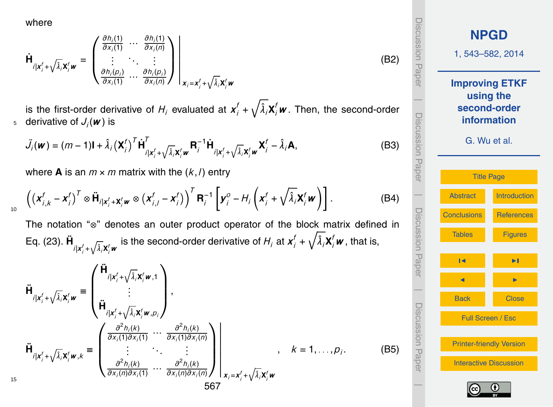where

$$
\dot{\mathbf{H}}_{i|\mathbf{x}'_j + \sqrt{\hat{\lambda}_j}\mathbf{x}'_j \mathbf{w}} = \begin{pmatrix} \frac{\partial h_i(1)}{\partial x_i(1)} & \cdots & \frac{\partial h_i(1)}{\partial x_i(n)} \\ \vdots & \ddots & \vdots \\ \frac{\partial h_i(p_i)}{\partial x_i(1)} & \cdots & \frac{\partial h_i(p_i)}{\partial x_i(n)} \end{pmatrix} \Bigg|_{\mathbf{x}_i = \mathbf{x}'_j + \sqrt{\hat{\lambda}_j}\mathbf{x}'_j \mathbf{w}}
$$

is the first-order derivative of  $H_i$  evaluated at  $\bm{x}^f_i + \sqrt{\hat{\lambda}_i} \bm{X}^f_i \bm{w}$  . Then, the second-order  $_5$  derivative of  $J_j(\boldsymbol{\mathit{w}})$  is

$$
\ddot{J}_i(\boldsymbol{w}) = (m-1)\mathbf{I} + \hat{\lambda}_i (\mathbf{X}_i^f)^T \dot{\mathbf{H}}_{i|\mathbf{x}_i^f + \sqrt{\hat{\lambda}_i} \mathbf{X}_i^f \boldsymbol{w}}^T \mathbf{R}_i^{-1} \dot{\mathbf{H}}_{i|\mathbf{x}_i^f + \sqrt{\hat{\lambda}_i} \mathbf{X}_i^f \boldsymbol{w}} \mathbf{X}_i^f - \hat{\lambda}_i \mathbf{A},
$$
\n(B3)

where **A** is an  $m \times m$  matrix with the  $(k, l)$  entry

$$
\left( \left( \mathbf{x}_{i,k}^f - \mathbf{x}_i^f \right)^T \otimes \ddot{\mathbf{H}}_{i|\mathbf{x}_i^f + \mathbf{X}_i^f \mathbf{w}} \otimes \left( \mathbf{x}_{i,j}^f - \mathbf{x}_i^f \right) \right)^T \mathbf{R}_i^{-1} \left[ \mathbf{y}_i^o - H_i \left( \mathbf{x}_i^f + \sqrt{\hat{\lambda}_i} \mathbf{X}_i^f \mathbf{w} \right) \right].
$$
 (B4)

The notation "⊗" denotes an outer product operator of the block matrix defined in Eq. (23).  $\ddot{\bm{\mathsf{H}}}$ <sub>il $\bm{x}_i^f$ + $\sqrt{\hat{\lambda}_i}\bm{x}_i^f\bm{w}$  is the second-order derivative of  $H_i$  at  $\bm{x}_i^f$  +  $\sqrt{\hat{\lambda}_i}\bm{X}_i^f\bm{w}$  , that is,</sub>

$$
\ddot{\mathbf{H}}_{i|\mathbf{x}_{j}^{f}+\sqrt{\hat{\lambda}_{i}}\mathbf{X}_{i}^{f}\mathbf{w}} \equiv \begin{pmatrix}\n\ddot{\mathbf{H}}_{i|\mathbf{x}_{j}^{f}+\sqrt{\hat{\lambda}_{i}}\mathbf{X}_{i}^{f}\mathbf{w},1} \\
\vdots \\
\ddot{\mathbf{H}}_{i|\mathbf{x}_{j}^{f}+\sqrt{\hat{\lambda}_{i}}\mathbf{X}_{i}^{f}\mathbf{w},p_{i}}\n\end{pmatrix},
$$
\n
$$
\ddot{\mathbf{H}}_{i|\mathbf{x}_{j}^{f}+\sqrt{\hat{\lambda}_{i}}\mathbf{X}_{i}^{f}\mathbf{w},k} \equiv \begin{pmatrix}\n\frac{\partial^{2}h_{i}(k)}{\partial x_{i}(1)\partial x_{i}(1)} \cdots \frac{\partial^{2}h_{i}(k)}{\partial x_{i}(1)\partial x_{i}(n)} \\
\vdots \ddots \ddots \vdots \\
\frac{\partial^{2}h_{i}(k)}{\partial x_{i}(n)\partial x_{i}(1)} \cdots \frac{\partial^{2}h_{i}(k)}{\partial x_{i}(n)\partial x_{i}(n)}\n\end{pmatrix}\n\begin{pmatrix}\n\mathbf{K} = 1, \ldots, p_{i}.\n\end{pmatrix}
$$
\n(B5)

**[NPGD](http://www.nonlin-processes-geophys-discuss.net)** 1, 543–582, 2014 **Improving ETKF using the second-order information** G. Wu et al. [Title Page](#page-0-0) [Abstract](#page-1-0) [Introduction](#page-1-0) [Conclusions](#page-20-0) [References](#page-31-0) [Tables](#page-35-0) [Figures](#page-38-0) J I **J** I I I I Back Close Full Screen / Esc [Printer-friendly Version](http://www.nonlin-processes-geophys-discuss.net/1/543/2014/npgd-1-543-2014-print.pdf) [Interactive Discussion](http://www.nonlin-processes-geophys-discuss.net/1/543/2014/npgd-1-543-2014-discussion.html)

Discussion Paper

Discussion Paper

(B2)

 $\overline{\phantom{a}}$ 

Discussion Paper

Discussion Paper

 $\overline{\phantom{a}}$ 

Discussion Paper

Discussion Paper

 $\overline{\phantom{a}}$ 

Discussion Paper

Discussion Pape

 $\overline{\phantom{a}}$ 



15

10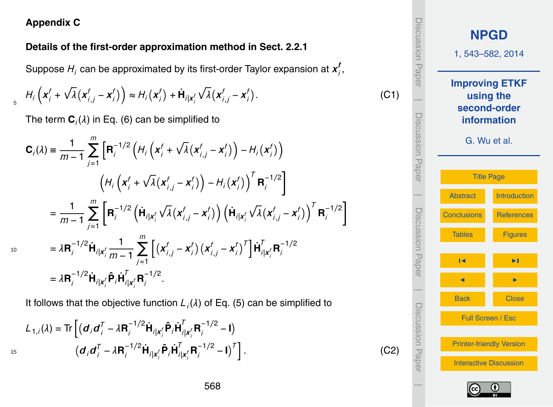## **Appendix C**

## **Details of the first-order approximation method in Sect. 2.2.1**

Suppose  $H_i$  can be approximated by its first-order Taylor expansion at  $\pmb{\mathsf{\mathsf{x}}}_{i}^{f}$ *i* ,

$$
H_i\left(\mathbf{x}_i^f + \sqrt{\lambda}\left(\mathbf{x}_{i,j}^f - \mathbf{x}_i^f\right)\right) \approx H_i\left(\mathbf{x}_i^f\right) + \dot{\mathbf{H}}_{i|\mathbf{x}_i^f}\sqrt{\lambda}\left(\mathbf{x}_{i,j}^f - \mathbf{x}_i^f\right). \tag{C1}
$$

The term  $\mathbf{C}_i(\lambda)$  in Eq. (6) can be simplified to

$$
C_{i}(\lambda) = \frac{1}{m-1} \sum_{j=1}^{m} \left[ R_{i}^{-1/2} \left( H_{i} \left( x_{i}^{f} + \sqrt{\lambda} (x_{i,j}^{f} - x_{i}^{f}) \right) - H_{i} (x_{i}^{f}) \right) \right. \\ \left. \left( H_{i} \left( x_{i}^{f} + \sqrt{\lambda} (x_{i,j}^{f} - x_{i}^{f}) \right) - H_{i} (x_{i}^{f}) \right)^{T} R_{i}^{-1/2} \right] \\ = \frac{1}{m-1} \sum_{j=1}^{m} \left[ R_{i}^{-1/2} \left( \dot{H}_{i|x_{i}^{f}} \sqrt{\lambda} (x_{i,j}^{f} - x_{i}^{f}) \right) \left( \dot{H}_{i|x_{i}^{f}} \sqrt{\lambda} (x_{i,j}^{f} - x_{i}^{f}) \right)^{T} R_{i}^{-1/2} \right] \\ = \lambda R_{i}^{-1/2} \dot{H}_{i|x_{i}^{f}} \frac{1}{m-1} \sum_{j=1}^{m} \left[ \left( x_{i,j}^{f} - x_{i}^{f} \right) (x_{i,j}^{f} - x_{i}^{f})^{T} \right] \dot{H}_{i|x_{i}^{f}}^{T} R_{i}^{-1/2} \\ = \lambda R_{i}^{-1/2} \dot{H}_{i|x_{i}^{f}} \hat{P}_{i} \dot{H}_{i|x_{i}^{f}}^{T} R_{i}^{-1/2}.
$$

It follows that the objective function *L<sup>i</sup>* (*λ*) of Eq. (5) can be simplified to

$$
L_{1,i}(\lambda) = \text{Tr}\left[ (\mathbf{d}_i \mathbf{d}_i^T - \lambda \mathbf{R}_i^{-1/2} \dot{\mathbf{H}}_{i|x_i'} \hat{\mathbf{P}}_i \dot{\mathbf{H}}_{i|x_i'}^T \mathbf{R}_i^{-1/2} - \mathbf{I}) \right]
$$
  
( $\mathbf{d}_i \mathbf{d}_i^T - \lambda \mathbf{R}_i^{-1/2} \dot{\mathbf{H}}_{i|x_i'} \hat{\mathbf{P}}_i \dot{\mathbf{H}}_{i|x_i'}^T \mathbf{R}_i^{-1/2} - \mathbf{I})^T \right].$  (C2)



10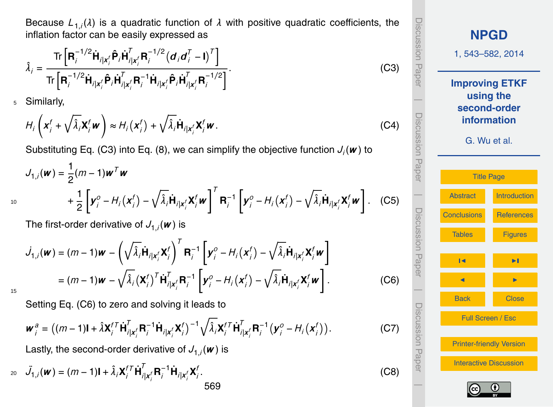Because *L*1,*<sup>i</sup>* (*λ*) is a quadratic function of *λ* with positive quadratic coefficients, the inflation factor can be easily expressed as

$$
\hat{\lambda}_{i} = \frac{\text{Tr}\left[\mathbf{R}_{i}^{-1/2}\dot{\mathbf{H}}_{i\mid\mathbf{x}_{i}^{f}}\hat{\mathbf{P}}_{i}\dot{\mathbf{H}}_{i\mid\mathbf{x}_{i}^{f}}^{T}\mathbf{R}_{i}^{-1/2}\left(\mathbf{d}_{i}\mathbf{d}_{i}^{T}-\mathbf{I}\right)^{T}\right]}{\text{Tr}\left[\mathbf{R}_{i}^{-1/2}\dot{\mathbf{H}}_{i\mid\mathbf{x}_{i}^{f}}\hat{\mathbf{P}}_{i}\dot{\mathbf{H}}_{i\mid\mathbf{x}_{i}^{f}}^{T}\mathbf{R}_{i}^{-1}\dot{\mathbf{H}}_{i\mid\mathbf{x}_{i}^{f}}\hat{\mathbf{P}}_{i}\dot{\mathbf{H}}_{i\mid\mathbf{x}_{i}^{f}}^{T}\mathbf{R}_{i}^{-1/2}\right]}.
$$
\n(C3)

<sup>5</sup> Similarly,

$$
H_i\left(\mathbf{x}_i^f + \sqrt{\hat{\lambda}_i}\mathbf{X}_i^f\mathbf{w}\right) \approx H_i\left(\mathbf{x}_i^f\right) + \sqrt{\hat{\lambda}_i}\dot{\mathbf{H}}_{i\vert \mathbf{x}_i^f}\mathbf{X}_i^f\mathbf{w}.
$$
 (C4)

Substituting Eq. (C3) into Eq. [\(8\)](#page-6-0), we can simplify the objective function *J<sup>i</sup>* (*w* ) to

$$
J_{1,i}(\mathbf{w}) = \frac{1}{2}(m-1)\mathbf{w}^T\mathbf{w}
$$
  
+ 
$$
\frac{1}{2}\left[\mathbf{y}_i^0 - H_i(\mathbf{x}_i^f) - \sqrt{\hat{\lambda}_i}\mathbf{H}_{i|\mathbf{x}_i^f}\mathbf{X}_i^f\mathbf{w}\right]^T \mathbf{R}_i^{-1} \left[\mathbf{y}_i^0 - H_i(\mathbf{x}_i^f) - \sqrt{\hat{\lambda}_i}\mathbf{H}_{i|\mathbf{x}_i^f}\mathbf{X}_i^f\mathbf{w}\right].
$$
 (C5)

The first-order derivative of  $J_{1,i}(\boldsymbol{\mathsf{w}})$  is

$$
J_{1,i}(\boldsymbol{w}) = (m-1)\boldsymbol{w} - \left(\sqrt{\hat{\lambda}_i}\dot{\mathbf{H}}_{i|\boldsymbol{x}_i^f}\mathbf{X}_i^f\right)^T \mathbf{R}_i^{-1} \left[\boldsymbol{y}_i^o - H_i(\boldsymbol{x}_i^f) - \sqrt{\hat{\lambda}_i}\dot{\mathbf{H}}_{i|\boldsymbol{x}_i^f}\mathbf{X}_i^f\boldsymbol{w}\right]
$$
  
=  $(m-1)\boldsymbol{w} - \sqrt{\hat{\lambda}_i}(\mathbf{X}_i^f)^T \dot{\mathbf{H}}_{i|\boldsymbol{x}_i^f}^T \mathbf{R}_i^{-1} \left[\boldsymbol{y}_i^o - H_i(\boldsymbol{x}_i^f) - \sqrt{\hat{\lambda}_i}\dot{\mathbf{H}}_{i|\boldsymbol{x}_i^f}\mathbf{X}_i^f\boldsymbol{w}\right].$ 

15

Setting Eq. (C6) to zero and solving it leads to

$$
\boldsymbol{w}_i^a = \left( (m-1)\mathbf{I} + \hat{\lambda} \mathbf{X}_i^{f \mathsf{T}} \dot{\mathbf{H}}_{i|\mathbf{x}_i^f}^{\mathsf{T}} \mathbf{R}_i^{-1} \dot{\mathbf{H}}_{i|\mathbf{x}_i^f} \mathbf{X}_i^f \right)^{-1} \sqrt{\hat{\lambda}_i} \mathbf{X}_i^{f \mathsf{T}} \dot{\mathbf{H}}_{i|\mathbf{x}_i^f}^{\mathsf{T}} \mathbf{R}_i^{-1} \left( \mathbf{y}_i^o - H_i(\mathbf{x}_i^f) \right).
$$

Lastly, the second-order derivative of  $J_{1,i}(\boldsymbol{\mathsf{w}})$  is

$$
z_0 \quad \ddot{J}_{1,i}(\mathbf{w}) = (m-1)\mathbf{I} + \hat{\lambda}_i \mathbf{X}_i^{f} \dot{\mathbf{H}}_{i|\mathbf{x}_i'}^T \mathbf{R}_i^{-1} \dot{\mathbf{H}}_{i|\mathbf{x}_i'} \mathbf{X}_i^f.
$$
\n(C8)

Discussion Paper Discussion Paper**[NPGD](http://www.nonlin-processes-geophys-discuss.net)** 1, 543–582, 2014 **Improving ETKF using the**  $\overline{\phantom{a}}$ **second-order** Discussion PaperDiscussion Paper **information** G. Wu et al. [Title Page](#page-0-0)  $\overline{\phantom{a}}$ [Abstract](#page-1-0) [Introduction](#page-1-0) Discussion PaperDiscussion Paper [Conclusions](#page-20-0) [References](#page-31-0) [Tables](#page-35-0) [Figures](#page-38-0) J I **J** I I I I  $\overline{\phantom{a}}$ Back Close Discussion PaperDiscussion Paper Full Screen / Esc [Printer-friendly Version](http://www.nonlin-processes-geophys-discuss.net/1/543/2014/npgd-1-543-2014-print.pdf) [Interactive Discussion](http://www.nonlin-processes-geophys-discuss.net/1/543/2014/npgd-1-543-2014-discussion.html)  $\overline{\phantom{a}}$ 

. (C6)

. (C7)

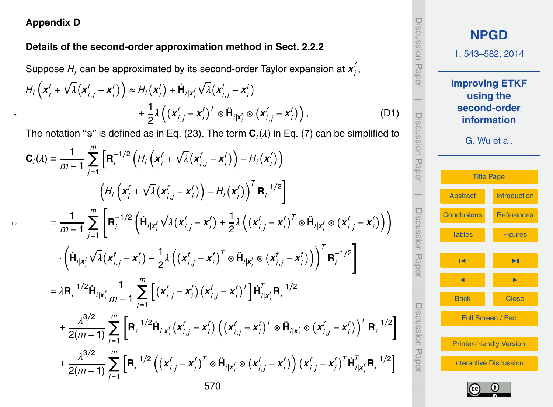## **Appendix D**

10

#### **Details of the second-order approximation method in Sect. 2.2.2**

Suppose  $H_i$  can be approximated by its second-order Taylor expansion at  $\boldsymbol{x}^j_i$ *i* ,  $H_i\left(\boldsymbol{x}^t_i\right)$  $\int_{i}^{f} + \sqrt{\lambda} (x_i^f)$  $\boldsymbol{f}_{i,j} - \boldsymbol{x}_j^t$  $\binom{f}{i}$   $\geqslant H_i(X_i^t)$  $\int_{i}^{f}$  +  $\dot{\mathbf{H}}_{i|x_{i}^{f}}$  $\sqrt{\lambda}(x)$ *i*,*j* − *x f i*  $+\frac{1}{2}$ 2 *λ x f i*,*j* − *x f*  $\int_{i}^{f} \int_{i}^{T} \otimes \mathbf{H}_{i|\mathbf{x}_{i}^{f}} \otimes (\mathbf{x}_{i}^{f})$ *i*,*j* − *x f*  $+\frac{1}{2}\lambda\left(\left(x_{i,j}^f-x_i^f\right)^T\otimes\tilde{\mathbf{H}}_{i\mid \mathbf{x}_i^f}\otimes\left(x_{i,j}^f-x_i^f\right)\right),$  (D1)

The notation "⊗" is defined as in Eq. (23). The term **C***<sup>i</sup>* (*λ*) in Eq. (7) can be simplified to

$$
C_{i}(\lambda) = \frac{1}{m-1} \sum_{j=1}^{m} \left[ R_{i}^{-1/2} \left( H_{i} \left( x_{i}^{f} + \sqrt{\lambda} (x_{i,j}^{f} - x_{i}^{f}) \right) - H_{i} (x_{i}^{f}) \right) \right. \\ \left. \left( H_{i} \left( x_{j}^{f} + \sqrt{\lambda} (x_{i,j}^{f} - x_{i}^{f}) \right) - H_{i} (x_{i}^{f}) \right)^{T} R_{i}^{-1/2} \right] \\ = \frac{1}{m-1} \sum_{j=1}^{m} \left[ R_{i}^{-1/2} \left( \dot{H}_{i|x_{i}^{f}} \sqrt{\lambda} (x_{i,j}^{f} - x_{i}^{f}) + \frac{1}{2} \lambda \left( (x_{i,j}^{f} - x_{i}^{f})^{T} \otimes \ddot{H}_{i|x_{i}^{f}} \otimes (x_{i,j}^{f} - x_{i}^{f}) \right) \right) \right. \\ \left. \cdot \left( \dot{H}_{i|x_{i}^{f}} \sqrt{\lambda} (x_{i,j}^{f} - x_{i}^{f}) + \frac{1}{2} \lambda \left( (x_{i,j}^{f} - x_{i}^{f})^{T} \otimes \ddot{H}_{i|x_{i}^{f}} \otimes (x_{i,j}^{f} - x_{i}^{f}) \right) \right)^{T} R_{i}^{-1/2} \right] \\ = \lambda R_{i}^{-1/2} \dot{H}_{i|x_{i}^{f}} \frac{1}{m-1} \sum_{j=1}^{m} \left[ (x_{i,j}^{f} - x_{i}^{f}) (x_{i,j}^{f} - x_{i}^{f})^{T} \right] \dot{H}_{i|x_{i}^{f}}^{T} R_{i}^{-1/2} \\ + \frac{\lambda^{3/2}}{2(m-1)} \sum_{j=1}^{m} \left[ R_{i}^{-1/2} \dot{H}_{i|x_{i}^{f}} (x_{i,j}^{f} - x_{i}^{f}) \left( (x_{i,j}^{f} - x_{i}^{f})^{T} \otimes \ddot{H}_{i|x_{i}^{f}} \otimes (x_{i,j}^{f} - x_{i}^{f}) \right)^{T} R_{i}^{-1/2} \right] \\ + \frac{\lambda^{3/2}}{2(m-1)} \sum_{j=1}^{m} \left[ R_{i}^{-
$$



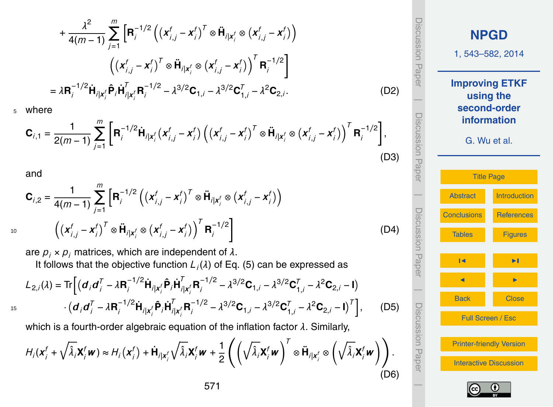$$
+\frac{\lambda^{2}}{4(m-1)}\sum_{j=1}^{m}\left[\mathbf{R}_{j}^{-1/2}\left((\mathbf{x}_{i,j}^{f}-\mathbf{x}_{i}^{f})^{T}\otimes\ddot{\mathbf{H}}_{i|\mathbf{x}_{i}^{f}}\otimes(\mathbf{x}_{i,j}^{f}-\mathbf{x}_{i}^{f})\right)\right]
$$

$$
\left((\mathbf{x}_{i,j}^{f}-\mathbf{x}_{i}^{f})^{T}\otimes\ddot{\mathbf{H}}_{i|\mathbf{x}_{i}^{f}}\otimes(\mathbf{x}_{i,j}^{f}-\mathbf{x}_{i}^{f})\right)^{T}\mathbf{R}_{i}^{-1/2}\right]
$$

$$
=\lambda\mathbf{R}_{i}^{-1/2}\dot{\mathbf{H}}_{i|\mathbf{x}_{i}^{f}}\hat{\mathbf{P}}_{i}\dot{\mathbf{H}}_{i|\mathbf{x}_{i}^{f}}^{T}\mathbf{R}_{i}^{-1/2}-\lambda^{3/2}\mathbf{C}_{1,i}-\lambda^{3/2}\mathbf{C}_{1,i}^{T}-\lambda^{2}\mathbf{C}_{2,i}.
$$
(D2)

<sup>5</sup> where

$$
\mathbf{C}_{i,1} = \frac{1}{2(m-1)} \sum_{j=1}^{m} \left[ \mathbf{R}_{i}^{-1/2} \dot{\mathbf{H}}_{i|x_{i}^{f}} (x_{i,j}^{f} - x_{i}^{f}) \left( (x_{i,j}^{f} - x_{i}^{f})^{T} \otimes \ddot{\mathbf{H}}_{i|x_{i}^{f}} \otimes (x_{i,j}^{f} - x_{i}^{f}) \right)^{T} \mathbf{R}_{i}^{-1/2} \right],
$$
\n(D3)

and

$$
\mathbf{C}_{i,2} = \frac{1}{4(m-1)} \sum_{j=1}^{m} \left[ \mathbf{R}_{i}^{-1/2} \left( (\mathbf{x}_{i,j}^{f} - \mathbf{x}_{i}^{f})^{T} \otimes \ddot{\mathbf{H}}_{i|\mathbf{x}_{i}^{f}} \otimes (\mathbf{x}_{i,j}^{f} - \mathbf{x}_{i}^{f}) \right) \right]
$$
  

$$
(\mathbf{x}_{i,j}^{f} - \mathbf{x}_{i}^{f})^{T} \otimes \ddot{\mathbf{H}}_{i|\mathbf{x}_{i}^{f}} \otimes (\mathbf{x}_{i,j}^{f} - \mathbf{x}_{i}^{f}) \right)^{T} \mathbf{R}_{i}^{-1/2}
$$
 (D4)

are  $p_i \times p_i$  matrices, which are independent of  $\lambda$ . It follows that the objective function *L<sup>i</sup>* (*λ*) of Eq. (5) can be expressed as  $L_{2,i}(\lambda) = \text{Tr}\Big[ \big( \boldsymbol{d}_i \boldsymbol{d}_i^T \big)$  $\sum_{i}^{T} - \lambda \mathbf{R}_{i}^{-1/2}$  $\hat{\mathbf{H}}_i^{1/2} \hat{\mathbf{H}}_i | \mathbf{x}_i^f \hat{\mathbf{P}}_i \hat{\mathbf{H}}_i^T$  $\prod_{i\mid \mathbf{x}^f_i\mathbf{R}_i^{-1/2}}$  $\lambda^{3/2}$ **C**<sub>1,*i*</sub> −  $\lambda^{3/2}$ **C**<sub>1</sub><sup>7</sup>  $\sum_{1,i}^{T} - \lambda^2 \mathbf{C}_{2,i} - \mathbf{I}$ 

$$
\frac{1}{15}
$$

$$
+ (\boldsymbol{d}_i \boldsymbol{d}_i^T - \lambda \mathbf{R}_i^{-1/2} \dot{\mathbf{H}}_{i|x_i'} \hat{\mathbf{P}}_i \dot{\mathbf{H}}_{i|x_i'}^T \mathbf{R}_i^{-1/2} - \lambda^{3/2} \mathbf{C}_{1,i} - \lambda^{3/2} \mathbf{C}_{1,i}^T - \lambda^2 \mathbf{C}_{2,i} - \mathbf{I})^T \Big], \qquad (D5)
$$

which is a fourth-order algebraic equation of the inflation factor *λ*. Similarly,

$$
H_i(\mathbf{x}_i^f + \sqrt{\hat{\lambda}_i} \mathbf{X}_i^f \mathbf{w}) \approx H_i(\mathbf{x}_i^f) + \dot{\mathbf{H}}_{i|\mathbf{x}_i^f} \sqrt{\hat{\lambda}_i} \mathbf{X}_i^f \mathbf{w} + \frac{1}{2} \left( \left( \sqrt{\hat{\lambda}_i} \mathbf{X}_i^f \mathbf{w} \right)^T \otimes \ddot{\mathbf{H}}_{i|\mathbf{x}_i^f} \otimes \left( \sqrt{\hat{\lambda}_i} \mathbf{X}_i^f \mathbf{w} \right) \right).
$$
\n(D6)

**[NPGD](http://www.nonlin-processes-geophys-discuss.net)** 1, 543–582, 2014 **Improving ETKF using the second-order information** G. Wu et al. [Title Page](#page-0-0) [Abstract](#page-1-0) [Introduction](#page-1-0) [Conclusions](#page-20-0) [References](#page-31-0) [Tables](#page-35-0) [Figures](#page-38-0) J I **J** I I I I Back Close Full Screen / Esc [Printer-friendly Version](http://www.nonlin-processes-geophys-discuss.net/1/543/2014/npgd-1-543-2014-print.pdf) [Interactive Discussion](http://www.nonlin-processes-geophys-discuss.net/1/543/2014/npgd-1-543-2014-discussion.html)

Discussion Paper

Discussion Paper

 $\overline{\phantom{a}}$ 

Discussion Paper

Discussion Paper

 $\overline{\phantom{a}}$ 

Discussion Paper

Discussion Paper

 $\overline{\phantom{a}}$ 

Discussion Paper

Discussion Paper

 $\overline{\phantom{a}}$ 

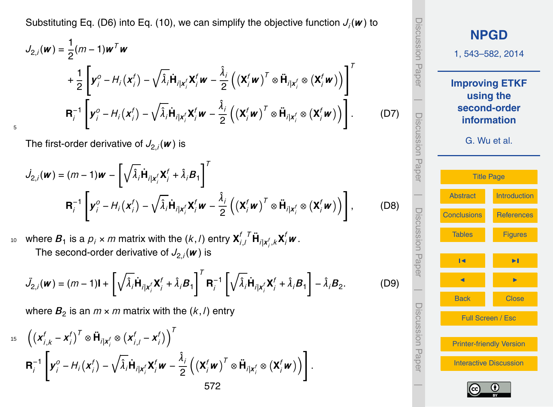Substituting Eq. (D6) into Eq. (10), we can simplify the objective function *J<sup>i</sup>* (*w* ) to

$$
J_{2,i}(\mathbf{w}) = \frac{1}{2}(m-1)\mathbf{w}^T\mathbf{w}
$$
  
+ 
$$
\frac{1}{2}\left[\mathbf{y}_i^0 - H_i(\mathbf{x}_i^f) - \sqrt{\hat{\lambda}_i}\dot{\mathbf{H}}_{i|\mathbf{x}_i^f}\mathbf{X}_i^f\mathbf{w} - \frac{\hat{\lambda}_i}{2}\left((\mathbf{X}_i^f\mathbf{w})^T \otimes \ddot{\mathbf{H}}_{i|\mathbf{x}_i^f} \otimes (\mathbf{X}_i^f\mathbf{w})\right)\right]^T
$$
  

$$
\mathbf{R}_i^{-1}\left[\mathbf{y}_i^0 - H_i(\mathbf{x}_i^f) - \sqrt{\hat{\lambda}_i}\dot{\mathbf{H}}_{i|\mathbf{x}_i^f}\mathbf{X}_i^f\mathbf{w} - \frac{\hat{\lambda}_i}{2}\left((\mathbf{X}_i^f\mathbf{w})^T \otimes \ddot{\mathbf{H}}_{i|\mathbf{x}_i^f} \otimes (\mathbf{X}_i^f\mathbf{w})\right)\right].
$$
 (D7)

The first-order derivative of  $J_{2,i}(\boldsymbol{\mathsf{w}})$  is

5

$$
\dot{J}_{2,i}(\boldsymbol{w}) = (m-1)\boldsymbol{w} - \left[\sqrt{\hat{\lambda}_i}\dot{\mathbf{H}}_{i|\mathbf{x}_i'}\mathbf{X}_i^f + \hat{\lambda}_i\mathbf{B}_1\right]^T
$$
  

$$
\mathbf{R}_i^{-1}\left[\mathbf{y}_i^o - H_i(\mathbf{x}_i^f) - \sqrt{\hat{\lambda}_i}\dot{\mathbf{H}}_{i|\mathbf{x}_i'}\mathbf{X}_i^f\mathbf{w} - \frac{\hat{\lambda}_i}{2}\left((\mathbf{X}_i^f\mathbf{w})^T \otimes \ddot{\mathbf{H}}_{i|\mathbf{x}_i'} \otimes (\mathbf{X}_i^f\mathbf{w})\right)\right],
$$
(D8)

where  $\boldsymbol{B}_1$  is a  $\rho_i \times m$  matrix with the  $(k,l)$  entry  $\boldsymbol{\mathsf{X}}^l_i$  $\mu$  *where*  $B_1$  *is a*  $p_j \times m$  *matrix with the*  $(k, l)$  *entry*  $\mathbf{X}_{i,l}^{f}$  $^T\mathbf{H}_{i|\mathbf{x}_{i}^{f},k}\mathbf{X}_{i}^{f}$  $\boldsymbol{w}$  *.* The second-order derivative of  $J_{2,i}(\boldsymbol{\mathsf{w}})$  is

$$
\ddot{J}_{2,i}(\boldsymbol{w}) = (m-1)\mathbf{I} + \left[\sqrt{\hat{\lambda}_i}\dot{\mathbf{H}}_{i|\boldsymbol{x}_i'}\mathbf{X}_i^f + \hat{\lambda}_i\boldsymbol{B}_1\right]^T \mathbf{R}_i^{-1} \left[\sqrt{\hat{\lambda}_i}\dot{\mathbf{H}}_{i|\boldsymbol{x}_i'}\mathbf{X}_i^f + \hat{\lambda}_i\boldsymbol{B}_1\right] - \hat{\lambda}_i\boldsymbol{B}_2.
$$
 (D9)

where  $\boldsymbol{B}_2$  is an  $m \times m$  matrix with the  $(k,l)$  entry

$$
15 \left( \left( \mathbf{x}_{i,k}^{f} - \mathbf{x}_{i}^{f} \right)^{T} \otimes \ddot{\mathbf{H}}_{i|\mathbf{x}_{i}^{f}} \otimes \left( \mathbf{x}_{i,j}^{f} - \mathbf{x}_{i}^{f} \right) \right)^{T}
$$

$$
\mathbf{R}_{i}^{-1} \left[ \mathbf{y}_{i}^{o} - H_{i} \left( \mathbf{x}_{i}^{f} \right) - \sqrt{\hat{\lambda}_{i}} \dot{\mathbf{H}}_{i|\mathbf{x}_{i}^{f}} \mathbf{X}_{i}^{f} \mathbf{w} - \frac{\hat{\lambda}_{i}}{2} \left( \left( \mathbf{X}_{i}^{f} \mathbf{w} \right)^{T} \otimes \ddot{\mathbf{H}}_{i|\mathbf{x}_{i}^{f}} \otimes \left( \mathbf{X}_{i}^{f} \mathbf{w} \right) \right) \right].
$$
  
572

**[NPGD](http://www.nonlin-processes-geophys-discuss.net)** 1, 543–582, 2014 **Improving ETKF using the second-order information** G. Wu et al. [Title Page](#page-0-0) [Abstract](#page-1-0) [Introduction](#page-1-0) [Conclusions](#page-20-0) [References](#page-31-0) [Tables](#page-35-0) [Figures](#page-38-0) J I J I Back Close Full Screen / Esc [Printer-friendly Version](http://www.nonlin-processes-geophys-discuss.net/1/543/2014/npgd-1-543-2014-print.pdf) [Interactive Discussion](http://www.nonlin-processes-geophys-discuss.net/1/543/2014/npgd-1-543-2014-discussion.html) Discussion Paper | Discussion Paper | Discussion Paper | Discussion Paper|

Inicannal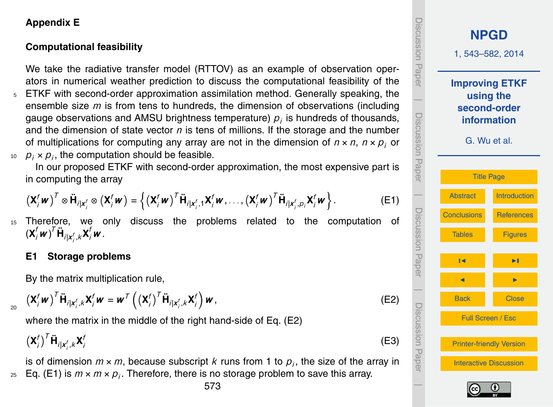## **Appendix E**

## **Computational feasibility**

We take the radiative transfer model (RTTOV) as an example of observation operators in numerical weather prediction to discuss the computational feasibility of the

<sup>5</sup> ETKF with second-order approximation assimilation method. Generally speaking, the ensemble size *m* is from tens to hundreds, the dimension of observations (including gauge observations and AMSU brightness temperature)  $\rho_i$  is hundreds of thousands, and the dimension of state vector *n* is tens of millions. If the storage and the number of multiplications for computing any array are not in the dimension of  $n \times n$ ,  $n \times p_i$  or  $p_j \times p_j$ , the computation should be feasible.

In our proposed ETKF with second-order approximation, the most expensive part is in computing the array

$$
\left(\mathbf{X}_{i}^{f} \mathbf{w}\right)^{T} \otimes \ddot{\mathbf{H}}_{i|\mathbf{x}_{i}^{f}} \otimes \left(\mathbf{X}_{i}^{f} \mathbf{w}\right) = \left\{\left(\mathbf{X}_{i}^{f} \mathbf{w}\right)^{T} \ddot{\mathbf{H}}_{i|\mathbf{x}_{i}^{f},1} \mathbf{X}_{i}^{f} \mathbf{w}, \ldots, \left(\mathbf{X}_{i}^{f} \mathbf{w}\right)^{T} \ddot{\mathbf{H}}_{i|\mathbf{x}_{i}^{f},p_{i}} \mathbf{X}_{i}^{f} \mathbf{w}\right\}.
$$
 (E1)

15 Therefore, we only discuss the problems related to the computation of  $(\mathbf{X}_{i}^{f} \boldsymbol{w})^{T} \mathbf{\ddot{H}}_{i|\mathbf{x}_{i}^{f},k} \mathbf{X}_{i}^{f} \boldsymbol{w}$  .

# **E1 Storage problems**

20

By the matrix multiplication rule,

$$
\left(\mathbf{X}_{i}^{f}\mathbf{w}\right)^{T}\ddot{\mathbf{H}}_{i|\mathbf{x}_{i}^{f},k}\mathbf{X}_{i}^{f}\mathbf{w}=\mathbf{w}^{T}\left(\left(\mathbf{X}_{i}^{f}\right)^{T}\ddot{\mathbf{H}}_{i|\mathbf{x}_{i}^{f},k}\mathbf{X}_{i}^{f}\right)\mathbf{w},
$$
\n(E2)

where the matrix in the middle of the right hand-side of Eq. (E2)

$$
\left(\mathbf{X}_{i}^{f}\right)^{T} \ddot{\mathbf{H}}_{i|\mathbf{x}_{i}^{f},k} \mathbf{X}_{i}^{f}
$$

is of dimension  $m \times m$ , because subscript  $k$  runs from 1 to  $p_j,$  the size of the array in  $_{25}$  Eq. (E1) is  $m \times m \times p_{j}$ . Therefore, there is no storage problem to save this array.

Discussion Paperiscussion<br>Paper **[NPGD](http://www.nonlin-processes-geophys-discuss.net)** 1, 543–582, 2014 **Improving ETKF using the**  $\overline{\phantom{a}}$ **second-order** Discussion PaperDiscussion Paper **information** G. Wu et al. [Title Page](#page-0-0)  $\overline{\phantom{a}}$ [Abstract](#page-1-0) [Introduction](#page-1-0) Discussion PaperDiscussion Paper [Conclusions](#page-20-0) [References](#page-31-0) [Tables](#page-35-0) [Figures](#page-38-0) J I **J** I I I I  $\overline{\phantom{a}}$ Back Close Discussion PaperDiscussion Pape Full Screen / Esc [Printer-friendly Version](http://www.nonlin-processes-geophys-discuss.net/1/543/2014/npgd-1-543-2014-print.pdf) [Interactive Discussion](http://www.nonlin-processes-geophys-discuss.net/1/543/2014/npgd-1-543-2014-discussion.html)



 $\overline{\phantom{a}}$ 

(E3)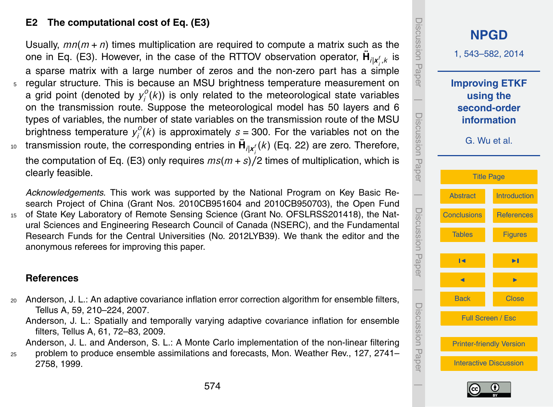## <span id="page-31-0"></span>**E2 The computational cost of Eq. (E3)**

Usually,  $mn(m + n)$  times multiplication are required to compute a matrix such as the one in Eq. (E3). However, in the case of the RTTOV observation operator,  $\ddot{\mathbf{H}}_{i|\mathbf{x}^f_{i},k}$  is a sparse matrix with a large number of zeros and the non-zero part has a simple regular structure. This is because an MSU brightness temperature measurement on a grid point (denoted by  $y_i^o$ *i* (*k*)) is only related to the meteorological state variables on the transmission route. Suppose the meteorological model has 50 layers and 6 types of variables, the number of state variables on the transmission route of the MSU  $\overline{b}$  rightness temperature  $y_i^o$  $i_j^o(k)$  is approximately  $s = 300$ . For the variables not on the transmission route, the corresponding entries in **H¨** *i*|*x f i* <sup>10</sup> (*k*) (Eq. [22\)](#page-9-0) are zero. Therefore, the computation of Eq. (E3) only requires *ms*(*m* + *s*)*/*2 times of multiplication, which is

*Acknowledgements.* This work was supported by the National Program on Key Basic Research Project of China (Grant Nos. 2010CB951604 and 2010CB950703), the Open Fund <sup>15</sup> of State Key Laboratory of Remote Sensing Science (Grant No. OFSLRSS201418), the Natural Sciences and Engineering Research Council of Canada (NSERC), and the Fundamental Research Funds for the Central Universities (No. 2012LYB39). We thank the editor and the anonymous referees for improving this paper.

#### **References**

clearly feasible.

- <sup>20</sup> Anderson, J. L.: An adaptive covariance inflation error correction algorithm for ensemble filters, Tellus A, 59, 210–224, 2007.
	- Anderson, J. L.: Spatially and temporally varying adaptive covariance inflation for ensemble filters, Tellus A, 61, 72–83, 2009.

Anderson, J. L. and Anderson, S. L.: A Monte Carlo implementation of the non-linear filtering

<sup>25</sup> problem to produce ensemble assimilations and forecasts, Mon. Weather Rev., 127, 2741– 2758, 1999.



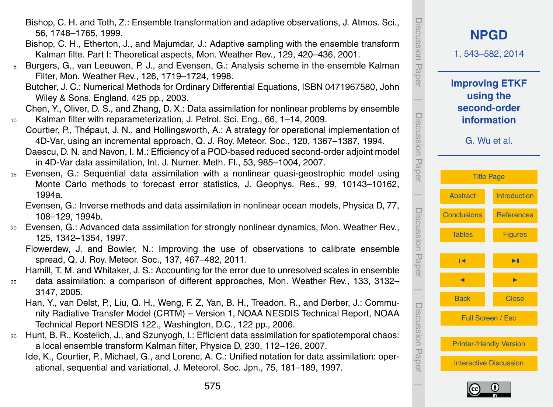- Bishop, C. H. and Toth, Z.: Ensemble transformation and adaptive observations, J. Atmos. Sci., 56, 1748–1765, 1999.
- Bishop, C. H., Etherton, J., and Majumdar, J.: Adaptive sampling with the ensemble transform Kalman filte. Part I: Theoretical aspects, Mon. Weather Rev., 129, 420–436, 2001.
- <sup>5</sup> Burgers, G., van Leeuwen, P. J., and Evensen, G.: Analysis scheme in the ensemble Kalman Filter, Mon. Weather Rev., 126, 1719–1724, 1998.
	- Butcher, J. C.: Numerical Methods for Ordinary Differential Equations, ISBN 0471967580, John Wiley & Sons, England, 425 pp., 2003.
- Chen, Y., Oliver, D. S., and Zhang, D. X.: Data assimilation for nonlinear problems by ensemble <sup>10</sup> Kalman filter with reparameterization, J. Petrol. Sci. Eng., 66, 1–14, 2009.
- Courtier, P., Thépaut, J. N., and Hollingsworth, A.: A strategy for operational implementation of 4D-Var, using an incremental approach, Q. J. Roy. Meteor. Soc., 120, 1367–1387, 1994. Daescu, D. N. and Navon, I. M.: Efficiency of a POD-based reduced second-order adjoint model in 4D-Var data assimilation, Int. J. Numer. Meth. Fl., 53, 985–1004, 2007.
- <sup>15</sup> Evensen, G.: Sequential data assimilation with a nonlinear quasi-geostrophic model using Monte Carlo methods to forecast error statistics, J. Geophys. Res., 99, 10143–10162, 1994a.
	- Evensen, G.: Inverse methods and data assimilation in nonlinear ocean models, Physica D, 77, 108–129, 1994b.
- <sup>20</sup> Evensen, G.: Advanced data assimilation for strongly nonlinear dynamics, Mon. Weather Rev., 125, 1342–1354, 1997.
	- Flowerdew, J. and Bowler, N.: Improving the use of observations to calibrate ensemble spread, Q. J. Roy. Meteor. Soc., 137, 467–482, 2011.
	- Hamill, T. M. and Whitaker, J. S.: Accounting for the error due to unresolved scales in ensemble
- <sup>25</sup> data assimilation: a comparison of different approaches, Mon. Weather Rev., 133, 3132– 3147, 2005.
	- Han, Y., van Delst, P., Liu, Q. H., Weng, F. Z, Yan, B. H., Treadon, R., and Derber, J.: Community Radiative Transfer Model (CRTM) – Version 1, NOAA NESDIS Technical Report, NOAA Technical Report NESDIS 122., Washington, D.C., 122 pp., 2006.
- <sup>30</sup> Hunt, B. R., Kostelich, J., and Szunyogh, I.: Efficient data assimilation for spatiotemporal chaos: a local ensemble transform Kalman filter, Physica D, 230, 112–126, 2007.
	- Ide, K., Courtier, P., Michael, G., and Lorenc, A. C.: Unified notation for data assimilation: operational, sequential and variational, J. Meteorol. Soc. Jpn., 75, 181–189, 1997.



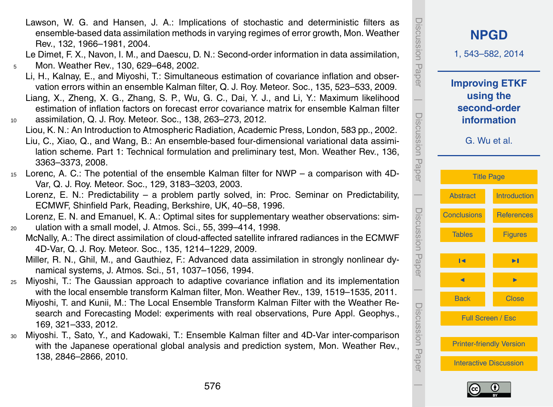Lawson, W. G. and Hansen, J. A.: Implications of stochastic and deterministic filters as ensemble-based data assimilation methods in varying regimes of error growth, Mon. Weather Rev., 132, 1966–1981, 2004.

Le Dimet, F. X., Navon, I. M., and Daescu, D. N.: Second-order information in data assimilation, <sup>5</sup> Mon. Weather Rev., 130, 629–648, 2002.

- Li, H., Kalnay, E., and Miyoshi, T.: Simultaneous estimation of covariance inflation and observation errors within an ensemble Kalman filter, Q. J. Roy. Meteor. Soc., 135, 523–533, 2009.
- Liang, X., Zheng, X. G., Zhang, S. P., Wu, G. C., Dai, Y. J., and Li, Y.: Maximum likelihood estimation of inflation factors on forecast error covariance matrix for ensemble Kalman filter <sup>10</sup> assimilation, Q. J. Roy. Meteor. Soc., 138, 263–273, 2012.
- Liou, K. N.: An Introduction to Atmospheric Radiation, Academic Press, London, 583 pp., 2002. Liu, C., Xiao, Q., and Wang, B.: An ensemble-based four-dimensional variational data assimilation scheme. Part 1: Technical formulation and preliminary test, Mon. Weather Rev., 136, 3363–3373, 2008.
- <sup>15</sup> Lorenc, A. C.: The potential of the ensemble Kalman filter for NWP a comparison with 4D-Var, Q. J. Roy. Meteor. Soc., 129, 3183–3203, 2003.
	- Lorenz, E. N.: Predictability a problem partly solved, in: Proc. Seminar on Predictability, ECMWF, Shinfield Park, Reading, Berkshire, UK, 40–58, 1996.

Lorenz, E. N. and Emanuel, K. A.: Optimal sites for supplementary weather observations: sim-

- <sup>20</sup> ulation with a small model, J. Atmos. Sci., 55, 399–414, 1998.
	- McNally, A.: The direct assimilation of cloud-affected satellite infrared radiances in the ECMWF 4D-Var, Q. J. Roy. Meteor. Soc., 135, 1214–1229, 2009.
		- Miller, R. N., Ghil, M., and Gauthiez, F.: Advanced data assimilation in strongly nonlinear dynamical systems, J. Atmos. Sci., 51, 1037–1056, 1994.
- <sup>25</sup> Miyoshi, T.: The Gaussian approach to adaptive covariance inflation and its implementation with the local ensemble transform Kalman filter, Mon. Weather Rev., 139, 1519–1535, 2011.
	- Miyoshi, T. and Kunii, M.: The Local Ensemble Transform Kalman Filter with the Weather Research and Forecasting Model: experiments with real observations, Pure Appl. Geophys., 169, 321–333, 2012.
- <sup>30</sup> Miyoshi. T., Sato, Y., and Kadowaki, T.: Ensemble Kalman filter and 4D-Var inter-comparison with the Japanese operational global analysis and prediction system, Mon. Weather Rev., 138, 2846–2866, 2010.



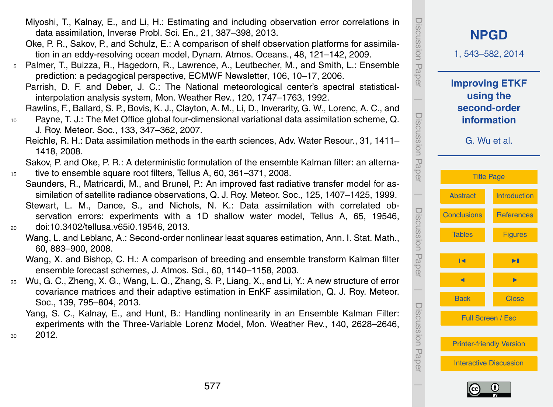- Miyoshi, T., Kalnay, E., and Li, H.: Estimating and including observation error correlations in data assimilation, Inverse Probl. Sci. En., 21, 387–398, 2013.
- Oke, P. R., Sakov, P., and Schulz, E.: A comparison of shelf observation platforms for assimilation in an eddy-resolving ocean model, Dynam. Atmos. Oceans., 48, 121–142, 2009.
- <sup>5</sup> Palmer, T., Buizza, R., Hagedorn, R., Lawrence, A., Leutbecher, M., and Smith, L.: Ensemble prediction: a pedagogical perspective, ECMWF Newsletter, 106, 10–17, 2006.
	- Parrish, D. F. and Deber, J. C.: The National meteorological center's spectral statisticalinterpolation analysis system, Mon. Weather Rev., 120, 1747–1763, 1992.
	- Rawlins, F., Ballard, S. P., Bovis, K. J., Clayton, A. M., Li, D., Inverarity, G. W., Lorenc, A. C., and
- <sup>10</sup> Payne, T. J.: The Met Office global four-dimensional variational data assimilation scheme, Q. J. Roy. Meteor. Soc., 133, 347–362, 2007.
	- Reichle, R. H.: Data assimilation methods in the earth sciences, Adv. Water Resour., 31, 1411– 1418, 2008.

Sakov, P. and Oke, P. R.: A deterministic formulation of the ensemble Kalman filter: an alterna-<sup>15</sup> tive to ensemble square root filters, Tellus A, 60, 361–371, 2008.

- Saunders, R., Matricardi, M., and Brunel, P.: An improved fast radiative transfer model for assimilation of satellite radiance observations, Q. J. Roy. Meteor. Soc., 125, 1407–1425, 1999. Stewart, L. M., Dance, S., and Nichols, N. K.: Data assimilation with correlated observation errors: experiments with a 1D shallow water model, Tellus A, 65, 19546, <sup>20</sup> doi[:10.3402/tellusa.v65i0.19546,](http://dx.doi.org/10.3402/tellusa.v65i0.19546) 2013.
	- Wang, L. and Leblanc, A.: Second-order nonlinear least squares estimation, Ann. I. Stat. Math., 60, 883–900, 2008.
		- Wang, X. and Bishop, C. H.: A comparison of breeding and ensemble transform Kalman filter ensemble forecast schemes, J. Atmos. Sci., 60, 1140–1158, 2003.
- <sup>25</sup> Wu, G. C., Zheng, X. G., Wang, L. Q., Zhang, S. P., Liang, X., and Li, Y.: A new structure of error covariance matrices and their adaptive estimation in EnKF assimilation, Q. J. Roy. Meteor. Soc., 139, 795–804, 2013.
- Yang, S. C., Kalnay, E., and Hunt, B.: Handling nonlinearity in an Ensemble Kalman Filter: experiments with the Three-Variable Lorenz Model, Mon. Weather Rev., 140, 2628–2646, <sup>30</sup> 2012.

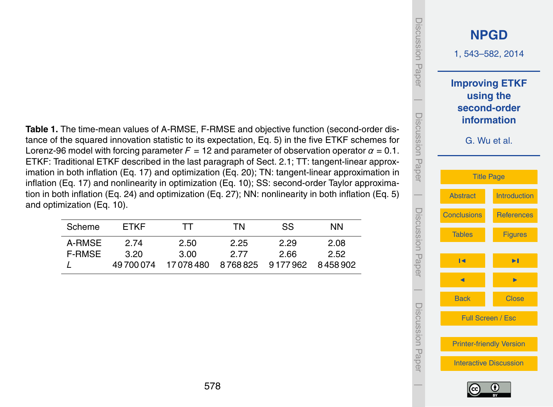<span id="page-35-0"></span>**Table 1.** The time-mean values of A-RMSE, F-RMSE and objective function (second-order distance of the squared innovation statistic to its expectation, Eq. 5) in the five ETKF schemes for Lorenz-96 model with forcing parameter *F* = 12 and parameter of observation operator *α* = 0.1. ETKF: Traditional ETKF described in the last paragraph of Sect. 2.1; TT: tangent-linear approximation in both inflation (Eq. 17) and optimization (Eq. 20); TN: tangent-linear approximation in inflation (Eq. 17) and nonlinearity in optimization (Eq. 10); SS: second-order Taylor approximation in both inflation (Eq. 24) and optimization (Eq. [27\)](#page-10-0); NN: nonlinearity in both inflation (Eq. 5) and optimization (Eq. 10).

| Scheme        | <b>FTKF</b> | TT         | ΤN        | SS.                 | NN.  |
|---------------|-------------|------------|-----------|---------------------|------|
| A-RMSE        | 2 74        | 2.50       | 2.25      | 2.29                | 2.08 |
| <b>F-RMSE</b> | 3.20        | 3.00       | 2 77      | 2.66                | 2.52 |
|               | 49 700 074  | 17 078 480 | 8 768 825 | 9 177 962 8 458 902 |      |



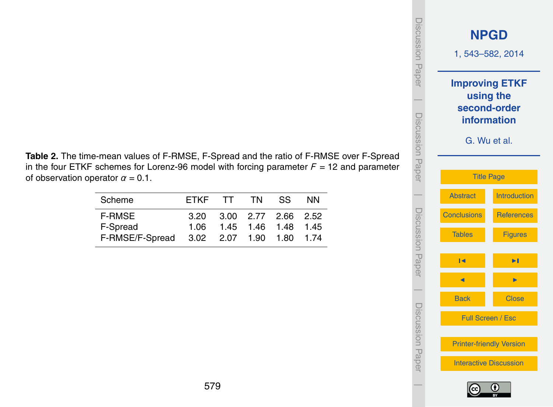| iscussion<br>Paper      |                                                                                   | <b>NPGD</b><br>1, 543-582, 2014 |  |
|-------------------------|-----------------------------------------------------------------------------------|---------------------------------|--|
| <b>Discussion Paper</b> | <b>Improving ETKF</b><br>using the<br>second-order<br>information<br>G. Wu et al. |                                 |  |
|                         |                                                                                   | <b>Title Page</b>               |  |
|                         | <b>Abstract</b>                                                                   | <b>Introduction</b>             |  |
| Discussion Paper        | <b>Conclusions</b>                                                                | <b>References</b>               |  |
|                         | <b>Tables</b>                                                                     | <b>Figures</b>                  |  |
|                         | м                                                                                 | ▶∣                              |  |
|                         |                                                                                   |                                 |  |
| I Discussion Pape       | <b>Back</b>                                                                       | <b>Close</b>                    |  |
|                         | Full Screen / Esc                                                                 |                                 |  |
|                         | <b>Printer-friendly Version</b><br><b>Interactive Discussion</b>                  |                                 |  |
|                         |                                                                                   |                                 |  |

**Table 2.** The time-mean values of F-RMSE, F-Spread and the ratio of F-RMSE over F-Spread in the four ETKF schemes for Lorenz-96 model with forcing parameter  $F = 12$  and parameter of observation operator  $\alpha = 0.1$ .

| Scheme          | FTKF                     | TT | TN T | SS.                 | <b>NN</b> |
|-----------------|--------------------------|----|------|---------------------|-----------|
| <b>F-RMSE</b>   | 3.20                     |    |      | 3.00 2.77 2.66 2.52 |           |
| F-Spread        | 1.06                     |    |      | 1.45 1.46 1.48 1.45 |           |
| F-RMSE/F-Spread | 3.02 2.07 1.90 1.80 1.74 |    |      |                     |           |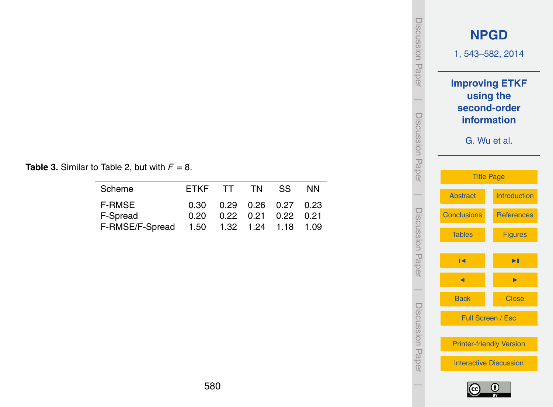|  | <b>Table 3.</b> Similar to Table 2, but with $F = 8$ . |  |  |  |
|--|--------------------------------------------------------|--|--|--|
|--|--------------------------------------------------------|--|--|--|

| Scheme          | FTKF |                              | TT TN                       | SS. | <b>NN</b> |
|-----------------|------|------------------------------|-----------------------------|-----|-----------|
| <b>F-RMSE</b>   | ი ვი |                              | $0.29$ 0.26 0.27 0.23       |     |           |
| F-Spread        | 0 20 |                              | $0.22$ $0.21$ $0.22$ $0.21$ |     |           |
| F-RMSE/F-Spread |      | 1.50  1.32  1.24  1.18  1.09 |                             |     |           |

| iscussion<br>Paper |                    | <b>NPGD</b><br>1, 543-582, 2014                                                   |  |  |  |
|--------------------|--------------------|-----------------------------------------------------------------------------------|--|--|--|
| Discussion Paper   |                    | <b>Improving ETKF</b><br>using the<br>second-order<br>information<br>G. Wu et al. |  |  |  |
|                    |                    | <b>Title Page</b>                                                                 |  |  |  |
|                    | <b>Abstract</b>    | <b>Introduction</b>                                                               |  |  |  |
|                    | <b>Conclusions</b> | <b>References</b>                                                                 |  |  |  |
| Discussion Paper   | <b>Tables</b>      | <b>Figures</b>                                                                    |  |  |  |
|                    | К                  | Ы                                                                                 |  |  |  |
|                    |                    |                                                                                   |  |  |  |
|                    | <b>Back</b>        | <b>Close</b>                                                                      |  |  |  |
|                    |                    | Full Screen / Esc                                                                 |  |  |  |
| I Discussion Papel |                    | <b>Printer-friendly Version</b>                                                   |  |  |  |
|                    |                    | <b>Interactive Discussion</b>                                                     |  |  |  |
|                    |                    |                                                                                   |  |  |  |

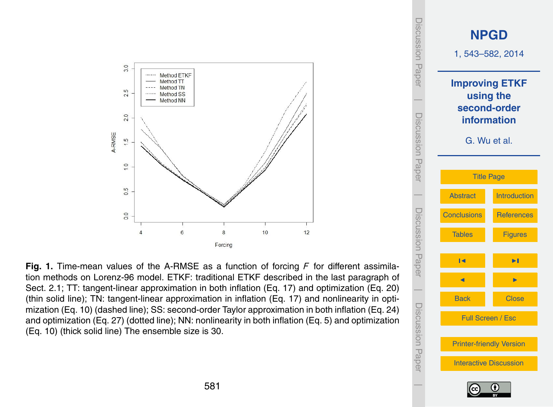<span id="page-38-0"></span>